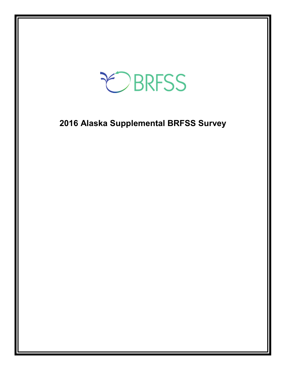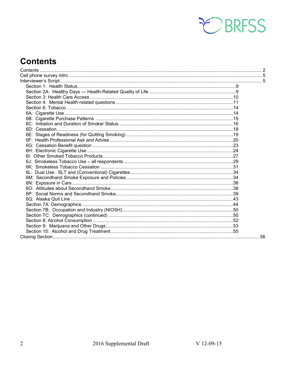

# <span id="page-1-0"></span>**Contents**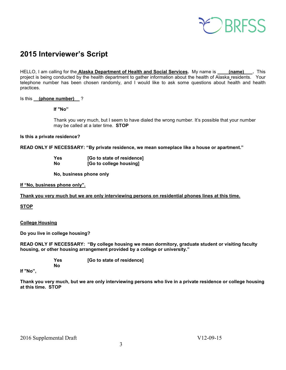

# **2015 Interviewer's Script**

HELLO, I am calling for the **Alaska Department of Health and Social Services**. My name is **(name)** . This project is being conducted by the health department to gather information about the health of Alaska residents. Your telephone number has been chosen randomly, and I would like to ask some questions about health and health practices.

### Is this **(phone number)** ?

### **If "No"**

Thank you very much, but I seem to have dialed the wrong number. It's possible that your number may be called at a later time. **STOP**

### **Is this a private residence?**

**READ ONLY IF NECESSARY: "By private residence, we mean someplace like a house or apartment."**

| Yes | [Go to state of residence] |
|-----|----------------------------|
| Nο  | [Go to college housing]    |

 **No, business phone only**

### **If "No, business phone only".**

### **Thank you very much but we are only interviewing persons on residential phones lines at this time.**

### **STOP**

### **College Housing**

**Do you live in college housing?** 

**READ ONLY IF NECESSARY: "By college housing we mean dormitory, graduate student or visiting faculty housing, or other housing arrangement provided by a college or university."**

> **Yes [Go to state of residence] No**

**If "No",**

**Thank you very much, but we are only interviewing persons who live in a private residence or college housing at this time. STOP**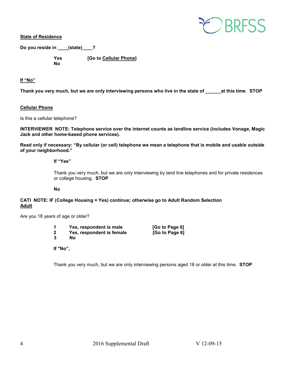

**State of Residence**

**Do you reside in \_\_\_\_(state)\_\_\_\_?** 

 **Yes [Go to Cellular Phone] No** 

### **If "No"**

**Thank you very much, but we are only interviewing persons who live in the state of \_\_\_\_\_\_at this time**. **STOP**

### **Cellular Phone**

Is this a cellular telephone?

**INTERVIEWER NOTE: Telephone service over the internet counts as landline service (includes Vonage, Magic Jack and other home-based phone services).**

**Read only if necessary: "By cellular (or cell) telephone we mean a telephone that is mobile and usable outside of your neighborhood."** 

**If "Yes"**

Thank you very much, but we are only interviewing by land line telephones and for private residences or college housing. **STOP**

**No**

**CATI NOTE: IF (College Housing = Yes) continue; otherwise go to Adult Random Selection Adult**

Are you 18 years of age or older?

|   | Yes, respondent is male   | [Go to Page 6] |
|---|---------------------------|----------------|
| 2 | Yes, respondent is female | [Go to Page 6] |
| ◠ |                           |                |

**3 No**

**If "No",**

Thank you very much, but we are only interviewing persons aged 18 or older at this time. **STOP**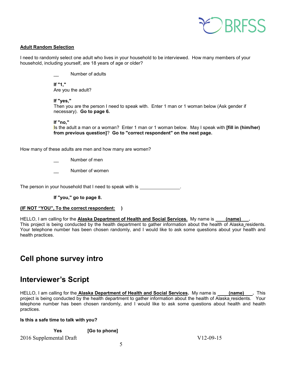

### **Adult Random Selection**

I need to randomly select one adult who lives in your household to be interviewed. How many members of your household, including yourself, are 18 years of age or older?

Number of adults

**If "1,"**  Are you the adult?

### **If "yes,"**

Then you are the person I need to speak with. Enter 1 man or 1 woman below (Ask gender if necessary). **Go to page 6.**

**If "no,"** 

Is the adult a man or a woman? Enter 1 man or 1 woman below. May I speak with **[fill in (him/her) from previous question]**? **Go to "correct respondent" on the next page.**

How many of these adults are men and how many are women?

Number of men

Number of women

The person in your household that I need to speak with is \_\_\_\_\_\_\_\_\_\_\_\_\_\_\_\_\_\_\_\_\_\_

**If "you," go to page 8.** 

### **(IF NOT "YOU", To the correct respondent: )**

HELLO, I am calling for the **Alaska Department of Health and Social Services.** My name is **(name) .**  This project is being conducted by the health department to gather information about the health of Alaska residents. Your telephone number has been chosen randomly, and I would like to ask some questions about your health and health practices.

# <span id="page-4-0"></span>**Cell phone survey intro**

### <span id="page-4-1"></span>**Interviewer's Script**

HELLO, I am calling for the **Alaska Department of Health and Social Services**. My name is **(name)** . This project is being conducted by the health department to gather information about the health of Alaska residents. Your telephone number has been chosen randomly, and I would like to ask some questions about health and health practices.

### **Is this a safe time to talk with you?**

**Yes [Go to phone]**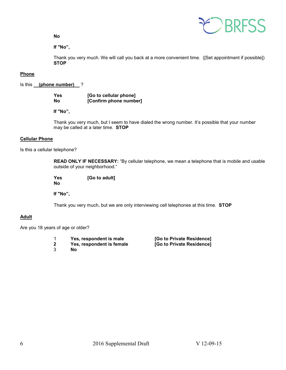**No**



**If "No",** 

Thank you very much. We will call you back at a more convenient time. ([Set appointment if possible]) **STOP** 

### **Phone**

Is this **(phone number)** ?

| <b>Yes</b> | [Go to cellular phone] |
|------------|------------------------|
| <b>No</b>  | [Confirm phone number] |

 **If "No",**

Thank you very much, but I seem to have dialed the wrong number. It's possible that your number may be called at a later time. **STOP** 

### **Cellular Phone**

Is this a cellular telephone?

**READ ONLY IF NECESSARY:** "By cellular telephone, we mean a telephone that is mobile and usable outside of your neighborhood."

 **Yes [Go to adult] No**

 **If "No",**

Thank you very much, but we are only interviewing cell telephones at this time. **STOP** 

### **Adult**

Are you 18 years of age or older?

|  | Yes, respondent is male |  |  |
|--|-------------------------|--|--|
|  |                         |  |  |

- **2** Yes, respondent is female<br>3 No
- 3 **No**

1 **Yes, respondent is male [Go to Private Residence]**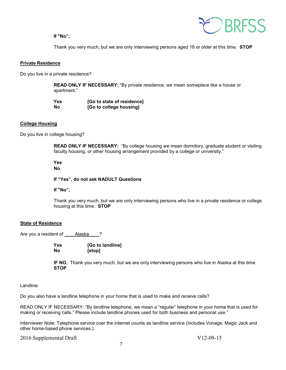### **If "No",**



Thank you very much, but we are only interviewing persons aged 18 or older at this time. **STOP** 

### **Private Residence**

Do you live in a private residence?

**READ ONLY IF NECESSARY:** "By private residence, we mean someplace like a house or apartment."

| Yes | [Go to state of residence] |
|-----|----------------------------|
| No  | [Go to college housing]    |

### **College Housing**

Do you live in college housing?

**READ ONLY IF NECESSARY:** "By college housing we mean dormitory, graduate student or visiting faculty housing, or other housing arrangement provided by a college or university."

### **Yes**

### **No**

**If "Yes", do not ask NADULT Questions**

**If "No",**

Thank you very much, but we are only interviewing persons who live in a private residence or college housing at this time. **STOP** 

#### **State of Residence**

Are you a resident of Alaska ?

| Yes | [Go to landline] |
|-----|------------------|
| Nο  | [stop]           |

**IF NO,** Thank you very much, but we are only interviewing persons who live in Alaska at this time. **STOP** 

### Landline

Do you also have a landline telephone in your home that is used to make and receive calls?

READ ONLY IF NECESSARY: "By landline telephone, we mean a "regular" telephone in your home that is used for making or receiving calls." Please include landline phones used for both business and personal use."

Interviewer Note: Telephone service over the internet counts as landline service (includes Vonage, Magic Jack and other home-based phone services.).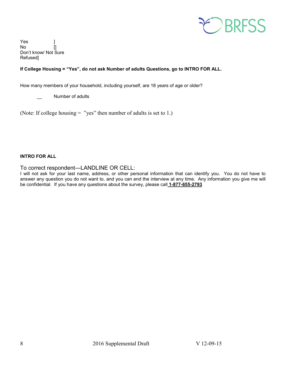

Yes No [] Don't know/ Not Sure Refused]

### **If College Housing = "Yes", do not ask Number of adults Questions, go to INTRO FOR ALL.**

How many members of your household, including yourself, are 18 years of age or older?

Number of adults

(Note: If college housing = "yes" then number of adults is set to 1.)

### **INTRO FOR ALL**

To correct respondent—LANDLINE OR CELL:

I will not ask for your last name, address, or other personal information that can identify you. You do not have to answer any question you do not want to, and you can end the interview at any time. Any information you give me will be confidential. If you have any questions about the survey, please call **1-877-655-2793**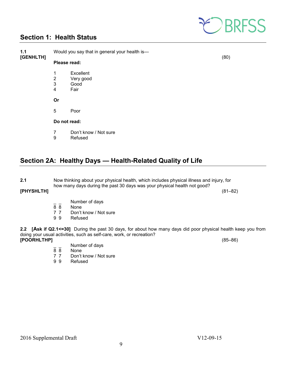

### <span id="page-8-0"></span>**Section 1: Health Status**

| 1.1<br>[GENHLTH] | Would you say that in general your health is-       | (80)                                   |  |
|------------------|-----------------------------------------------------|----------------------------------------|--|
|                  | Please read:                                        |                                        |  |
|                  | 1<br>$\overline{2}$<br>3<br>$\overline{\mathbf{4}}$ | Excellent<br>Very good<br>Good<br>Fair |  |
|                  | Or                                                  |                                        |  |
|                  | 5                                                   | Poor                                   |  |
|                  | Do not read:                                        |                                        |  |
|                  | 7<br>9                                              | Don't know / Not sure<br>Refused       |  |

### <span id="page-8-1"></span>**Section 2A: Healthy Days — Health-Related Quality of Life**

| 2.1 | Now thinking about your physical health, which includes physical illness and injury, for |
|-----|------------------------------------------------------------------------------------------|
|     | how many days during the past 30 days was your physical health not good?                 |

### **[PHYSHLTH]** (81–82)

- $\frac{1}{8}$   $\frac{1}{8}$  Number of days
- 8 8 None<br>7 7 Don't
- 7 7 Don't know / Not sure<br>9 9 Refused
- **Refused**

**2.2 [Ask if Q2.1<=30]** During the past 30 days, for about how many days did poor physical health keep you from doing your usual activities, such as self-care, work, or recreation? **[POORHLTHP]** (85–86)

- $\overline{88}$  Number of days
- 8 8 None<br>7 7 Don't
- 7 7 Don't know / Not sure<br>9 9 Refused
- **Refused**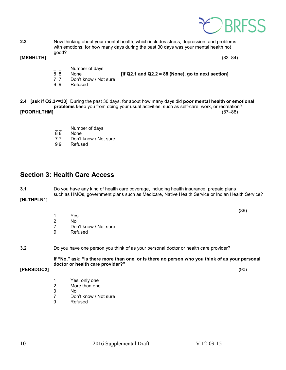

**2.3** Now thinking about your mental health, which includes stress, depression, and problems with emotions, for how many days during the past 30 days was your mental health not good?<br> **[MENHLTH]** 

### **[MENHLTH]** (83–84)

 $\overline{88}$  Number of days

- 8 8 None **[If Q2.1 and Q2.2 = 88 (None), go to next section]**
- 7 7 Don't know / Not sure<br>9 9 Refused
- **Refused**
- **2.4 [ask if Q2.3<=30]** During the past 30 days, for about how many days did **poor mental health or emotional problems** keep you from doing your usual activities, such as self-care, work, or recreation? **[POORHLTHM]** 
	- $\frac{1}{8}$  Number of days
	- 88 None<br>77 Don't
	- Don't know / Not sure
	- 9 9 Refused

### <span id="page-9-0"></span>**Section 3: Health Care Access**

**3.1** Do you have any kind of health care coverage, including health insurance, prepaid plans such as HMOs, government plans such as Medicare, Native Health Service or Indian Health Service?

**[HLTHPLN1]**

 $(89)$ 

- 1 Yes<br>2 No
- 2 No<br>7 Dor
- Don't know / Not sure
- 9 Refused

### **3.2** Do you have one person you think of as your personal doctor or health care provider?

**If "No," ask: "Is there more than one, or is there no person who you think of as your personal doctor or health care provider?"**

**[PERSDOC2]** (90)

- 1 Yes, only one<br>2 More than one
- More than one
- 3 No
- 7 Don't know / Not sure<br>9 Refused
- **Refused**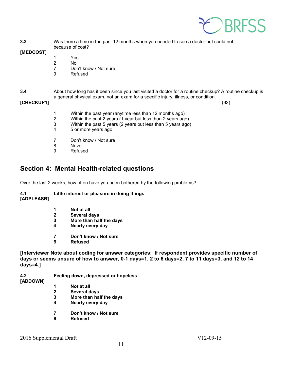

**3.3** Was there a time in the past 12 months when you needed to see a doctor but could not because of cost?

**[MEDCOST]**

- 1 Yes
- 2 No<br>7 Dor
- Don't know / Not sure
- 9 Refused
- **3.4** About how long has it been since you last visited a doctor for a routine checkup? A routine checkup is a general physical exam, not an exam for a specific injury, illness, or condition.

### **[CHECKUP1]** (92)

| 1<br>2<br>3<br>$\overline{4}$ | Within the past year (anytime less than 12 months ago)<br>Within the past 2 years (1 year but less than 2 years ago)<br>Within the past 5 years (2 years but less than 5 years ago)<br>5 or more years ago |
|-------------------------------|------------------------------------------------------------------------------------------------------------------------------------------------------------------------------------------------------------|
| 7                             | Don't know / Not sure                                                                                                                                                                                      |
| 8                             | Never                                                                                                                                                                                                      |
| 9                             | Refused                                                                                                                                                                                                    |

### <span id="page-10-0"></span>**Section 4: Mental Health-related questions**

Over the last 2 weeks, how often have you been bothered by the following problems?

- **4.1 Little interest or pleasure in doing things [ADPLEASR]** 
	- **1 Not at all**
	- **2 Several days**
	- **3 More than half the days**
	- **4 Nearly every day**
	- **7 Don't know / Not sure**
	- **9 Refused**

**[Interviewer Note about coding for answer categories: If respondent provides specific number of days or seems unsure of how to answer, 0-1 days=1, 2 to 6 days=2, 7 to 11 days=3, and 12 to 14 days=4.]**

#### **4.2 Feeling down, depressed or hopeless [ADDOWN]**

- **1 Not at all**
- **2 Several days**
- **3 More than half the days**
- **4 Nearly every day**
- **7 Don't know / Not sure**
- **9 Refused**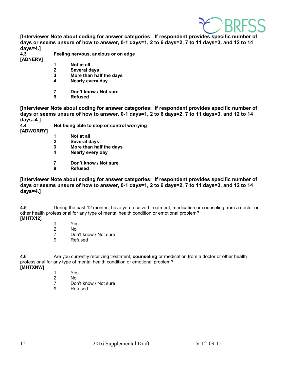

**[Interviewer Note about coding for answer categories: If respondent provides specific number of days or seems unsure of how to answer, 0-1 days=1, 2 to 6 days=2, 7 to 11 days=3, and 12 to 14 days=4.]**

**4.3 Feeling nervous, anxious or on edge**

- **[ADNERV]**
- 
- **1 Not at all 2 Several days**
- **3 More than half the days**
- **4 Nearly every day**
- **7 Don't know / Not sure**
- **9 Refused**

**[Interviewer Note about coding for answer categories: If respondent provides specific number of days or seems unsure of how to answer, 0-1 days=1, 2 to 6 days=2, 7 to 11 days=3, and 12 to 14 days=4.]**

**4.4 ` Not being able to stop or control worrying [ADWORRY]**

- **1 Not at all**
- **2 Several days**
- **3 More than half the days**
- **4 Nearly every day**
- **7 Don't know / Not sure**
- **Refused**

**[Interviewer Note about coding for answer categories: If respondent provides specific number of days or seems unsure of how to answer, 0-1 days=1, 2 to 6 days=2, 7 to 11 days=3, and 12 to 14 days=4.]**

**4.5** During the past 12 months, have you received treatment, medication or counseling from a doctor or other health professional for any type of mental health condition or emotional problem? **[MHTX12]**

- 
- 1 Yes<br>2 No No
- 7 Don't know / Not sure<br>9 Refused
- **Refused**

**4.6** Are you currently receiving treatment, **counseling** or medication from a doctor or other health professional for any type of mental health condition or emotional problem?

- **[MHTXNW]**
- 1 Yes<br>2 No
- 2 No
- Don't know / Not sure
- 9 Refused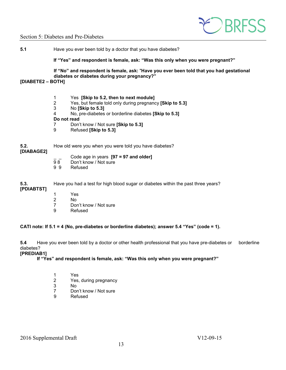

### Section 5: Diabetes and Pre-Diabetes

**5.1** Have you ever been told by a doctor that you have diabetes?

**If "Yes" and respondent is female, ask: "Was this only when you were pregnant?"** 

**If "No" and respondent is female, ask:** "**Have you ever been told that you had gestational diabetes or diabetes during your pregnancy?"**

### **[DIABETE2 – BOTH]**

- 1 Yes **[Skip to 5.2, then to next module]**
- 2 Yes, but female told only during pregnancy **[Skip to 5.3]**
- 3 No **[Skip to 5.3]**
- 4 No, pre-diabetes or borderline diabetes **[Skip to 5.3]**

### **Do not read**

- 7 Don't know / Not sure **[Skip to 5.3]**
- 9 Refused **[Skip to 5.3]**

### **5.2.** How old were you when you were told you have diabetes?

### **[DIABAGE2]**

\_ \_ Code age in years **[97 = 97 and older]**

- 98 Don't know / Not sure<br>99 Refused
- **Refused**

**5.3.** Have you had a test for high blood sugar or diabetes within the past three years? **[PDIABTST]**

- 1 Yes
- 
- 2 No<br>7 Dor 7 Don't know / Not sure<br>9 Refused
- **Refused**

**CATI note: If 5.1 = 4 (No, pre-diabetes or borderline diabetes); answer 5.4 "Yes" (code = 1).** 

**5.4** Have you ever been told by a doctor or other health professional that you have pre-diabetes or borderline diabetes?

**[PREDIAB1]**

**If "Yes" and respondent is female, ask: "Was this only when you were pregnant?"** 

- 1 Yes
- 2 Yes, during pregnancy<br>3 No
- No.
- 7 Don't know / Not sure
- 9 Refused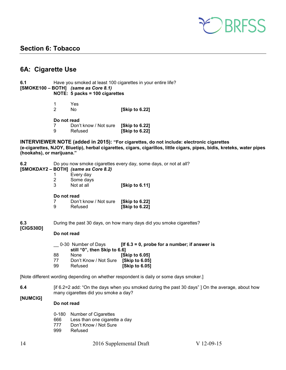

### <span id="page-13-0"></span>**Section 6: Tobacco**

### <span id="page-13-1"></span>**6A: Cigarette Use**

| 6.1                                  |                                  |  | Have you smoked at least 100 cigarettes in your entire life? |  |
|--------------------------------------|----------------------------------|--|--------------------------------------------------------------|--|
| [SMOKE100 - BOTH] (same as Core 8.1) |                                  |  |                                                              |  |
|                                      | NOTE: $5$ packs = 100 cigarettes |  |                                                              |  |

| Yes. |                |
|------|----------------|
| No.  | [Skip to 6.22] |

#### **Do not read**

|   | ---------             |                |  |  |
|---|-----------------------|----------------|--|--|
| 7 | Don't know / Not sure | [Skip to 6.22] |  |  |
| 9 | Refused               | [Skip to 6.22] |  |  |

**INTERVIEWER NOTE (added in 2015): "For cigarettes, do not include: electronic cigarettes (e-cigarettes, NJOY, Bluetip), herbal cigarettes, cigars, cigarillos, little cigars, pipes, bidis, kreteks, water pipes (hookahs), or marijuana."**

**6.2** Do you now smoke cigarettes every day, some days, or not at all?

**[SMOKDAY2 – BOTH]** *(same as Core 8.2)*

- 
- 1 Every day<br>2 Some days 2 Some days<br>3 Not at all
- **[Skip to 6.11]**

#### **Do not read**

|   | Don't know / Not sure | [Skip to 6.22] |
|---|-----------------------|----------------|
| 9 | Refused               | [Skip to 6.22] |

**6.3** During the past 30 days, on how many days did you smoke cigarettes?

### **[CIGS30D]**

### **Do not read**

|                              | [If $6.3 = 0$ , probe for a number; if answer is |
|------------------------------|--------------------------------------------------|
| still "0", then Skip to 6.6] |                                                  |
| <b>None</b>                  | <b>ISkip to 6.051</b>                            |
| Don't Know / Not Sure        | <b>Skip to 6.051</b>                             |
| Refused                      | <b>Skip to 6.051</b>                             |
|                              | 0-30 Number of Days                              |

[Note different wording depending on whether respondent is daily or some days smoker.]

**6.4** [if 6.2=2 add: "On the days when you smoked during the past 30 days" ] On the average, about how many cigarettes did you smoke a day?

### **[NUMCIG]**

### **Do not read**

- 0-180 Number of Cigarettes
- 666 Less than one cigarette a day<br>777 Don't Know / Not Sure
- Don't Know / Not Sure
- 999 Refused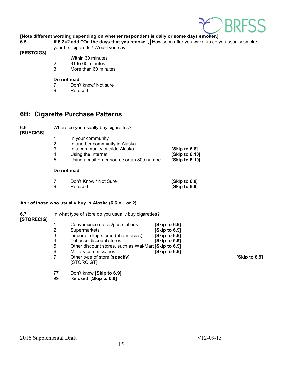

### **[Note different wording depending on whether respondent is daily or some days smoker.]**

**6.5 if 6.2=2 add:"On the days that you smoke",** How soon after you wake up do you usually smoke your first cigarette? Would you say

### **[FRSTCIG3]**

- 1 Within 30 minutes<br>2 31 to 60 minutes
- 31 to 60 minutes
- 3 More than 60 minutes

### **Do not read**

- 7 Don't know/ Not sure<br>9 Refused
- **Refused**

### <span id="page-14-0"></span>**6B: Cigarette Purchase Patterns**

**6.6** Where do you usually buy cigarettes?

**[BUYCIGS]**

- 1 In your community<br>2 In another commun
- 2 In another community in Alaska<br>3 In a community outside Alaska
- 3 In a community outside Alaska **[Skip to 6.8]**
- 
- 4 Using the Internet **[Skip to 6.10]**  Using a mail-order source or an 800 number

### **Do not read**

| Don't Know / Not Sure | [Skip to 6.9] |
|-----------------------|---------------|
| Refused               | [Skip to 6.9] |

### **Ask of those who usually buy in Alaska (6.6 = 1 or 2)**

| 6.7<br>[STORECIG] | In what type of store do you usually buy cigarettes? |                                                       |               |               |
|-------------------|------------------------------------------------------|-------------------------------------------------------|---------------|---------------|
|                   |                                                      | Convenience stores/gas stations                       | [Skip to 6.9] |               |
|                   |                                                      | Supermarkets                                          | [Skip to 6.9] |               |
|                   | 3                                                    | Liquor or drug stores (pharmacies)                    | [Skip to 6.9] |               |
|                   | 4                                                    | Tobacco discount stores                               | [Skip to 6.9] |               |
|                   | 5                                                    | Other discount stores, such as Wal-Mart [Skip to 6.9] |               |               |
|                   | 6                                                    | Military commissaries                                 | [Skip to 6.9] |               |
|                   |                                                      | Other type of store (specify)<br>[STORCIGT]           |               | [Skip to 6.9] |

- 77 Don't know **[Skip to 6.9]**
- 99 Refused **[Skip to 6.9]**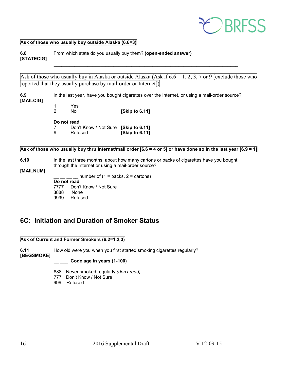

### **Ask of those who usually buy outside Alaska (6.6=3)**

**6.8** From which state do you usually buy them? **(open-ended answer) [STATECIG]** \_\_\_\_\_\_\_\_\_\_\_\_\_\_\_\_\_\_\_\_\_\_\_\_\_\_\_\_\_\_\_\_\_\_\_\_\_\_\_\_\_\_\_\_\_\_\_\_\_\_\_\_\_\_\_\_\_\_\_\_\_\_\_\_\_\_\_\_\_\_\_

Ask of those who usually buy in Alaska or outside Alaska (Ask if  $6.6 = 1, 2, 3, 7$  or 9 [exclude those who reported that they usually purchase by mail-order or Internet])

**6.9** In the last year, have you bought cigarettes over the Internet, or using a mail-order source?

- **[MAILCIG]**
- 1 Yes<br>2 No

**[Skip to 6.11]** 

### **Do not read**

7 Don't Know / Not Sure **[Skip to 6.11]**  9 Refused **[Skip to 6.11]** 

### Ask of those who usually buy thru Internet/mail order [6.6 = 4 or 5] or have done so in the last year [6.9 = 1]

### **6.10** In the last three months, about how many cartons or packs of cigarettes have you bought through the Internet or using a mail-order source?

### **[MAILNUM]**

number of  $(1 =$  packs,  $2 =$  cartons)

**Do not read**<br>7777 Don

Don't Know / Not Sure

- 8888 None<br>9999 Refuse
- Refused

### <span id="page-15-0"></span>**6C: Initiation and Duration of Smoker Status**

### **Ask of Current and Former Smokers (6.2=1,2,3)**

**6.11** How old were you when you first started smoking cigarettes regularly? **[BEGSMOKE]** 

### **\_\_ \_\_\_ Code age in years (1-100)**

- 888 Never smoked regularly *(don't read)*
- 777 Don't Know / Not Sure
- 999 Refused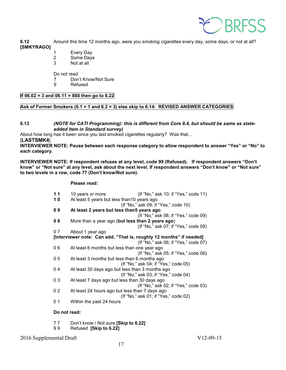

**6.12** Around this time 12 months ago, were you smoking cigarettes every day, some days, or not at all? **[SMKYRAGO]** 

- 1 Every Day
- 2 Some Days
- 3 Not at all

Do not read

- 7 Don't Know/Not Sure<br>9 Refused
- **Refused**

### **If 06.02 = 3 and 06.11 = 888 then go to 6.22**

### **Ask of Former Smokers (6.1 = 1 and 6.2 = 3) else skip to 6.14: REVISED ANSWER CATEGORIES**

**6.13** *(NOTE for CATI Programming): this is different from Core 8.4, but should be same as stateadded item in Standard survey)*

About how long has it been since you last smoked cigarettes regularly? Was that…

[**LASTSMK4**]

**INTERVIEWER NOTE: Pause between each response category to allow respondent to answer "Yes" or "No" to each category.**

**INTERVIEWER NOTE: If respondent refuses at any level, code 99 (Refused). If respondent answers "Don't know" or "Not sure" at any level, ask about the next level. If respondent answers "Don't know" or "Not sure" to two levels in a row, code 77 (Don't know/Not sure).**

### **Please read:**

| 11 | 10 years or more                                                    | (If "No," ask 10; if "Yes," code 11) |
|----|---------------------------------------------------------------------|--------------------------------------|
| 10 | At least 5 years but less than 10 years ago                         |                                      |
|    |                                                                     | (If "No," ask 09; if "Yes," code 10) |
| 09 | At least 2 years but less than5 years ago                           |                                      |
|    |                                                                     | (If "No," ask 08; if "Yes," code 09) |
| 08 | More than a year ago (but less than 2 years ago)                    |                                      |
|    |                                                                     | (If "No," ask 07; if "Yes," code 08) |
| 07 | About 1 year ago                                                    |                                      |
|    | [Interviewer note: Can add, "That is, roughly 12 months" if needed] |                                      |
|    |                                                                     | (If "No," ask 06; if "Yes," code 07) |
| 06 | At least 6 months but less than one year ago                        |                                      |
|    |                                                                     | (If "No," ask 05; if "Yes," code 06) |
| 05 | At least 3 months but less than 6 months ago                        |                                      |
|    |                                                                     | (If "No," ask 04; if "Yes," code 05) |
| 04 | At least 30 days ago but less than 3 months ago                     |                                      |
|    |                                                                     | (If "No," ask 03; if "Yes," code 04) |
| 03 | At least 7 days ago but less than 30 days ago                       |                                      |
|    |                                                                     | (If "No," ask 02; if "Yes," code 03) |
| 02 | At least 24 hours ago but less than 7 days ago                      |                                      |
|    |                                                                     | (If "No," ask 01; if "Yes," code 02) |
| 01 | Within the past 24 hours                                            |                                      |
|    |                                                                     |                                      |

**Do not read:**

- 7 7 Don't know / Not sure **[Skip to 6.22]**
- 9 9 Refused **[Skip to 6.22]**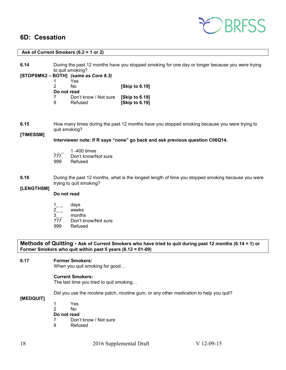### <span id="page-17-0"></span>**6D: Cessation**



### **Ask of Current Smokers (6.2 = 1 or 2) 6.14** During the past 12 months have you stopped smoking for one day or longer because you were trying to quit smoking? **[STOPSMK2 – BOTH]** *(same as Core 8.3)* 1 Yes 2 No **[Skip to 6.19] Do not read**<br>7 Don 7 Don't know / Not sure **[Skip to 6.19] [Skip to 6.19] 6.15** How many times during the past 12 months have you stopped smoking because you were trying to quit smoking? **[TIMESSM] Interviewer note: If R says "none" go back and ask previous question C06Q14.**   $\overline{777}$  1 -400 times Don't know/Not sure 999 Refused **6.16** During the past 12 months, what is the longest length of time you stopped smoking because you were trying to quit smoking? **[LENGTHSM] Do not read**  $1_{--}$  days  $2_{-}$  weeks<br>3 months months 777 Don't know/Not sure<br>999 Refused **Refused Methods of Quitting - Ask of Current Smokers who have tried to quit during past 12 months (6.14 = 1) or Former Smokers who quit within past 5 years (6.13 = 01-09) 6.17 Former Smokers:** When you quit smoking for good… **Current Smokers:** The last time you tried to quit smoking… Did you use the nicotine patch, nicotine gum, or any other medication to help you quit? **[MEDQUIT]** 1 Yes No. **Do not read** 7 Don't know / Not sure

9 Refused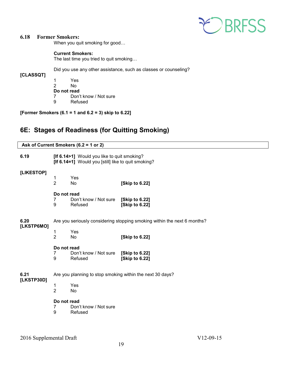

### **6.18 Former Smokers:**

When you quit smoking for good…

### **Current Smokers:**

The last time you tried to quit smoking…

Did you use any other assistance, such as classes or counseling?

**[CLASSQT]**

1 Yes No. **Do not read**<br> **7** Don' 7 Don't know / Not sure<br>9 Refused **Refused** 

**[Former Smokers (6.1 = 1 and 6.2 = 3) skip to 6.22]** 

### <span id="page-18-0"></span>**6E: Stages of Readiness (for Quitting Smoking)**

| Ask of Current Smokers (6.2 = 1 or 2) |                                                                          |                                                                                                    |                                  |
|---------------------------------------|--------------------------------------------------------------------------|----------------------------------------------------------------------------------------------------|----------------------------------|
| 6.19                                  |                                                                          | [If 6.14>1] Would you like to quit smoking?<br>[If 6.14=1] Would you [still] like to quit smoking? |                                  |
| [LIKESTOP]                            | 1<br>$\overline{2}$                                                      | Yes<br><b>No</b>                                                                                   | [Skip to 6.22]                   |
|                                       | Do not read<br>7<br>9                                                    | Don't know / Not sure<br>Refused                                                                   | [Skip to 6.22]<br>[Skip to 6.22] |
| 6.20<br>[LKSTP6MO]                    | Are you seriously considering stopping smoking within the next 6 months? |                                                                                                    |                                  |
|                                       | 1<br>$\overline{2}$                                                      | Yes<br><b>No</b>                                                                                   | [Skip to 6.22]                   |
|                                       | Do not read<br>$\overline{7}$<br>9                                       | Don't know / Not sure<br>Refused                                                                   | [Skip to 6.22]<br>[Skip to 6.22] |
| 6.21                                  | Are you planning to stop smoking within the next 30 days?                |                                                                                                    |                                  |
| [LKSTP30D]                            | 1<br>$\overline{2}$                                                      | Yes<br>No                                                                                          |                                  |
|                                       | Do not read<br>7<br>9                                                    | Don't know / Not sure<br>Refused                                                                   |                                  |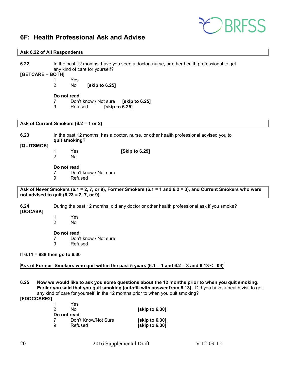

### <span id="page-19-0"></span>**6F: Health Professional Ask and Advise**

### **Ask 6.22 of All Respondents**

| 6.22               | In the past 12 months, have you seen a doctor, nurse, or other health professional to get<br>any kind of care for yourself?                              |
|--------------------|----------------------------------------------------------------------------------------------------------------------------------------------------------|
| [GETCARE – BOTH]   |                                                                                                                                                          |
|                    | Yes<br>1                                                                                                                                                 |
|                    | 2<br>[skip to 6.25]<br>No                                                                                                                                |
|                    | Do not read                                                                                                                                              |
|                    | 7<br>Don't know / Not sure<br>[skip to 6.25]<br>9<br>Refused<br>[skip to 6.25]                                                                           |
|                    | Ask of Current Smokers (6.2 = 1 or 2)                                                                                                                    |
| 6.23<br>[QUITSMOK] | In the past 12 months, has a doctor, nurse, or other health professional advised you to<br>quit smoking?                                                 |
|                    | [Skip to 6.29]<br>Yes<br>1<br>$\overline{2}$<br><b>No</b>                                                                                                |
|                    | Do not read<br>Don't know / Not sure<br>7<br>9<br>Refused                                                                                                |
|                    | Ask of Never Smokers (6.1 = 2, 7, or 9), Former Smokers (6.1 = 1 and 6.2 = 3), and Current Smokers who were<br>not advised to quit $(6.23 = 2, 7, or 9)$ |
| 6.24<br>[DOCASK]   | During the past 12 months, did any doctor or other health professional ask if you smoke?                                                                 |
|                    | Yes<br>1<br>$\overline{2}$<br><b>No</b>                                                                                                                  |
|                    | Do not read                                                                                                                                              |
|                    | Don't know / Not sure<br>7<br>9<br>Refused                                                                                                               |
|                    | If $6.11 = 888$ then go to $6.30$                                                                                                                        |
|                    | Ask of Former Smokers who quit within the past 5 years (6.1 = 1 and 6.2 = 3 and 6.13 $\leq$ 09)                                                          |

**6.25 Now we would like to ask you some questions about the 12 months prior to when you quit smoking. Earlier you said that you quit smoking [autofill with answer from 6.13].** Did you have a health visit to get any kind of care for yourself, in the 12 months prior to when you quit smoking?

**[FDOCCARE2]** 

|             | Yes                 |                |
|-------------|---------------------|----------------|
| 2           | No.                 | [skip to 6.30] |
| Do not read |                     |                |
|             | Don't Know/Not Sure | [skip to 6.30] |
| 9           | Refused             | [skip to 6.30] |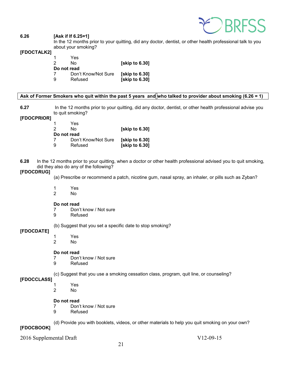

### **6.26 [Ask if If 6.25=1]**

In the 12 months prior to your quitting, did any doctor, dentist, or other health professional talk to you about your smoking?

### **[FDOCTALK2]**

|   | Yes                 |                       |
|---|---------------------|-----------------------|
| 2 | N٥                  | <b>Skip to 6.301</b>  |
|   | Do not read         |                       |
|   | Don't Know/Not Sure | <b>Solution</b> 6.301 |
| 9 | Refused             | <b>Skip to 6.301</b>  |

### **Ask of Former Smokers who quit within the past 5 years and who talked to provider about smoking (6.26 = 1)**

**6.27** In the 12 months prior to your quitting, did any doctor, dentist, or other health professional advise you to quit smoking?

### **[FDOCPRIOR]**

| 1           | Yes                 |                       |
|-------------|---------------------|-----------------------|
| 2           | N٥                  | [skip to 6.30]        |
| Do not read |                     |                       |
| 7           | Don't Know/Not Sure | <b>Solution</b> 6.301 |
| 9           | Refused             | [skip to 6.30]        |

**6.28** In the 12 months prior to your quitting, when a doctor or other health professional advised you to quit smoking, did they also do any of the following?

### **[FDOCDRUG]**

(a) Prescribe or recommend a patch, nicotine gum, nasal spray, an inhaler, or pills such as Zyban?

- 1 Yes
- No.

#### **Do not read**

- 7 Don't know / Not sure<br>9 Refused
- **Refused**

(b) Suggest that you set a specific date to stop smoking?

### **[FDOCDATE]**

1 Yes 2 No

### **Do not read**

- 7 Don't know / Not sure<br>9 Refused
- **Refused**

(c) Suggest that you use a smoking cessation class, program, quit line, or counseling?

### **[FDOCCLASS]**

- 1 Yes 2 No
	-

### **Do not read**

- 7 Don't know / Not sure<br>9 Refused
- **Refused**

(d) Provide you with booklets, videos, or other materials to help you quit smoking on your own?

### **[FDOCBOOK]**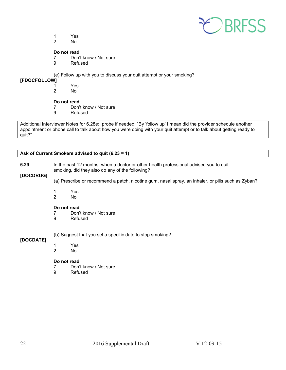

- 1 Yes
- No.

### **Do not read**

- 7 Don't know / Not sure
- 9 Refused

(e) Follow up with you to discuss your quit attempt or your smoking?

# **[FDOCFOLLOW]**

- 1 Yes
	- No.

### **Do not read**

- 7 Don't know / Not sure
- 9 Refused

Additional Interviewer Notes for 6.28e: probe if needed: "By 'follow up' I mean did the provider schedule another appointment or phone call to talk about how you were doing with your quit attempt or to talk about getting ready to quit?"

### **Ask of Current Smokers advised to quit (6.23 = 1)**

| 6.29<br>[DOCDRUG]                                         | In the past 12 months, when a doctor or other health professional advised you to quit<br>smoking, did they also do any of the following? |                                                                                                    |  |
|-----------------------------------------------------------|------------------------------------------------------------------------------------------------------------------------------------------|----------------------------------------------------------------------------------------------------|--|
|                                                           |                                                                                                                                          | (a) Prescribe or recommend a patch, nicotine gum, nasal spray, an inhaler, or pills such as Zyban? |  |
|                                                           | Yes<br>2<br>No.                                                                                                                          |                                                                                                    |  |
|                                                           | Do not read<br>9                                                                                                                         | Don't know / Not sure<br>Refused                                                                   |  |
| (b) Suggest that you set a specific date to stop smoking? |                                                                                                                                          |                                                                                                    |  |
| [DOCDATE]                                                 | 2                                                                                                                                        | <b>Yes</b><br>No.                                                                                  |  |

### **Do not read**

- 7 Don't know / Not sure<br>9 Refused
- **Refused**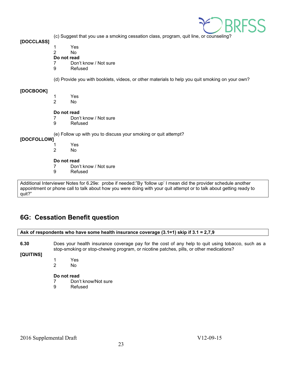

(c) Suggest that you use a smoking cessation class, program, quit line, or counseling?

**[DOCCLASS]**

1 Yes

No.

- **Do not read**
- 7 Don't know / Not sure
- 9 Refused

(d) Provide you with booklets, videos, or other materials to help you quit smoking on your own?

### **[DOCBOOK]**

- 1 Yes  $No$
- **Do not read**<br>7 Don'
- Don't know / Not sure
- 9 Refused

(e) Follow up with you to discuss your smoking or quit attempt?

### **[DOCFOLLOW]**

1 Yes No.

### **Do not read**

- 7 Don't know / Not sure
- 9 Refused

Additional Interviewer Notes for 6.29e: probe if needed:"By 'follow up' I mean did the provider schedule another appointment or phone call to talk about how you were doing with your quit attempt or to talk about getting ready to quit?"

### <span id="page-22-0"></span>**6G: Cessation Benefit question**

| Ask of respondents who have some health insurance coverage (3.1=1) skip if 3.1 = 2,7,9 |                                                                                                 |  |
|----------------------------------------------------------------------------------------|-------------------------------------------------------------------------------------------------|--|
| G 20                                                                                   | Does your health insurance coverage nay for the cost of any help to quit using tobacco, such as |  |

**6.30** Does your health insurance coverage pay for the cost of any help to quit using tobacco, such as a stop-smoking or stop-chewing program, or nicotine patches, pills, or other medications?

**[QUITINS]**

- 1 Yes
- 2 No

### **Do not read**

- 7 Don't know/Not sure<br>9 Refused
- **Refused**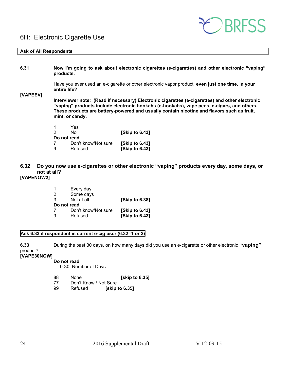### <span id="page-23-0"></span>6H: Electronic Cigarette Use



### **Ask of All Respondents**

| 6.31        | products.                                                                                                                                                                                                                                                                                                      |                     | Now I'm going to ask about electronic cigarettes (e-cigarettes) and other electronic "vaping" |  |
|-------------|----------------------------------------------------------------------------------------------------------------------------------------------------------------------------------------------------------------------------------------------------------------------------------------------------------------|---------------------|-----------------------------------------------------------------------------------------------|--|
| [VAPEEV]    | Have you ever used an e-cigarette or other electronic vapor product, even just one time, in your<br>entire life?                                                                                                                                                                                               |                     |                                                                                               |  |
|             | Interviewer note: (Read if necessary) Electronic cigarettes (e-cigarettes) and other electronic<br>"vaping" products include electronic hookahs (e-hookahs), vape pens, e-cigars, and others.<br>These products are battery-powered and usually contain nicotine and flavors such as fruit,<br>mint, or candy. |                     |                                                                                               |  |
|             |                                                                                                                                                                                                                                                                                                                | Yes                 |                                                                                               |  |
|             | 2                                                                                                                                                                                                                                                                                                              | No.                 | <b>Skip to 6.431</b>                                                                          |  |
| Do not read |                                                                                                                                                                                                                                                                                                                |                     |                                                                                               |  |
|             |                                                                                                                                                                                                                                                                                                                | Don't know/Not sure | <b>Skip to 6.431</b>                                                                          |  |
|             | 9                                                                                                                                                                                                                                                                                                              | Refused             | <b>Skip to 6.431</b>                                                                          |  |

### **6.32 Do you now use e-cigarettes or other electronic "vaping" products every day, some days, or not at all?**

### **[VAPENOW2]**

| 1           | Every day           |                |
|-------------|---------------------|----------------|
| 2           | Some days           |                |
| 3           | Not at all          | [Skip to 6.38] |
| Do not read |                     |                |
| 7           | Don't know/Not sure | [Skip to 6.43] |
| 9           | Refused             | [Skip to 6.43] |

### **Ask 6.33 if respondent is current e-cig user (6.32=1 or 2)**

**6.33** During the past 30 days, on how many days did you use an e-cigarette or other electronic **"vaping"**  product?

**[VAPE30NOW]** 

### **Do not read**

\_\_ 0-30 Number of Days

- 88 None **[skip to 6.35]**
- 77 Don't Know / Not Sure<br>99 Refused **[skip**] **[skip to 6.35]**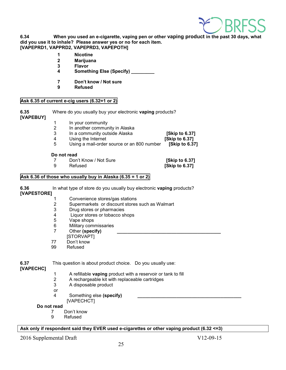

**6.34 When you used an e-cigarette, vaping pen or other vaping product in the past 30 days, what did you use it to inhale? Please answer yes or no for each item. [VAPEPRD1, VAPPRD2, VAPEPRD3, VAPEPOTH]** 

- **1 Nicotine**
- 
- **2 Marijuana 3 Flavor**
- **4 Something Else (Specify) \_\_\_\_\_\_\_\_\_**
- **7 Don't know / Not sure**
- **9 Refused**

### **Ask 6.35 of current e-cig users (6.32=1 or 2)**

**6.35** Where do you usually buy your electronic **vaping** products? **[VAPEBUY]**

- 1 In your community<br>2 In another commun
- 2 In another community in Alaska<br>3 In a community outside Alaska
- 3 In a community outside Alaska **[Skip to 6.37]**
- 4 Using the Internet<br>5 Using a mail-order

5 Using a mail-order source or an 800 number **[Skip to 6.37]** 

#### **Do not read**

- 7 Don't Know / Not Sure **[Skip to 6.37]**
- 

**[Skip to 6.37]** 

### **Ask 6.36 of those who usually buy in Alaska (6.35 = 1 or 2)**

**6.36** In what type of store do you usually buy electronic **vaping** products? **[VAPESTORE]**

- 1 Convenience stores/gas stations<br>2 Supermarkets or discount stores
	- Supermarkets or discount stores such as Walmart
- 3 Drug stores or pharmacies<br>4 liquor stores or tobacco sl
- 4 Liquor stores or tobacco shops<br>5 Vape shops
- Vape shops
- 6 Military commissaries<br>7 Other (specify)
- Other (specify)
- [STORVAPT]
- 77 Don't know<br>99 Refused
- Refused

**6.37** This question is about product choice. Do you usually use:

**[VAPECHC]**

- 1 A refillable **vaping** product with a reservoir or tank to fill
- 2 A rechargeable kit with replaceable cartridges
- 3 A disposable product
- or
- 4 Something else (specify)
- [VAPECHCT]

### **Do not read**

- 7 Don't know
- 9 Refused

### **Ask only if respondent said they EVER used e-cigarettes or other vaping product (6.32 <=3)**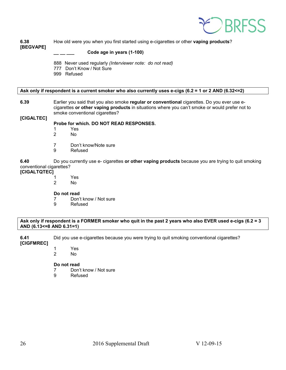

**6.38** How old were you when you first started using e-cigarettes or other **vaping products**? **[BEGVAPE]** 

### **\_\_ \_\_ \_\_\_ Code age in years (1-100)**

- 888 Never used regularly *(Interviewer note: do not read)*
- 777 Don't Know / Not Sure
- 999 Refused

### **Ask only if respondent is a current smoker who also currently uses e-cigs (6.2 = 1 or 2 AND (6.32<=2)**

**6.39** Earlier you said that you also smoke **regular or conventional** cigarettes. Do you ever use ecigarettes **or other vaping products** in situations where you can't smoke or would prefer not to smoke conventional cigarettes?

### **Probe for which. DO NOT READ RESPONSES.**

- 1 Yes<br>2 No
- No.
- 7 Don't know/Note sure
- 9 Refused

**6.40** Do you currently use e- cigarettes **or other vaping products** because you are trying to quit smoking conventional cigarettes?

# **[CIGALTQTEC]**

**[CIGALTEC]**

- 1 Yes<br>2 No
- No.

### **Do not read**

- 7 Don't know / Not sure
- 9 Refused

### **Ask only if respondent is a FORMER smoker who quit in the past 2 years who also EVER used e-cigs (6.2 = 3 AND (6.13<=8 AND 6.31=1)**

**6.41** Did you use e-cigarettes because you were trying to quit smoking conventional cigarettes?

### **[CIGFMREC]**

- 1 Yes
	- No.

### **Do not read**

- 7 Don't know / Not sure
- 9 Refused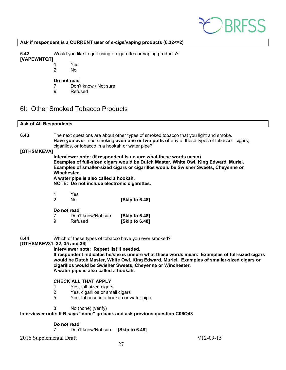

#### **Ask if respondent is a CURRENT user of e-cigs/vaping products (6.32<=2)**

**6.42** Would you like to quit using e-cigarettes or vaping products?

**[VAPEWNTQT]**

- 1 Yes<br>2 No
	- No.

### **Do not read**

- 7 Don't know / Not sure
- 9 Refused

### <span id="page-26-0"></span>6I: Other Smoked Tobacco Products

#### **Ask of All Respondents**

**6.43** The next questions are about other types of smoked tobacco that you light and smoke. **Have you ever** tried smoking **even one or two puffs of** any of these types of tobacco: cigars, cigarillos, or tobacco in a hookah or water pipe?

### **[OTHSMKEVA]**

**Interviewer note: (If respondent is unsure what these words mean) Examples of full-sized cigars would be Dutch Master, White Owl, King Edward, Muriel. Examples of smaller-sized cigars or cigarillos would be Swisher Sweets, Cheyenne or Winchester.**

**A water pipe is also called a hookah.**

**NOTE: Do not include electronic cigarettes.**

1 Yes

2 No **[Skip to 6.48]** 

### **Do not read**

| 7 | Don't know/Not sure | [Skip to 6.48] |
|---|---------------------|----------------|
| 9 | Refused             | [Skip to 6.48] |

**6.44** Which of these types of tobacco have you ever smoked?

### **[OTHSMKEV31, 32, 35 and 36]**

**Interviewer note: Repeat list if needed.** 

**If respondent indicates he/she is unsure what these words mean: Examples of full-sized cigars would be Dutch Master, White Owl, King Edward, Muriel. Examples of smaller-sized cigars or cigarillos would be Swisher Sweets, Cheyenne or Winchester. A water pipe is also called a hookah.**

### **CHECK ALL THAT APPLY**

- 1 Yes, full-sized cigars
- 2 Yes, cigarillos or small cigars
- 5 Yes, tobacco in a hookah or water pipe
- 8 No (none) (verify)

### **Interviewer note: If R says "none" go back and ask previous question C06Q43**

### **Do not read**

7 Don't know/Not sure **[Skip to 6.48]**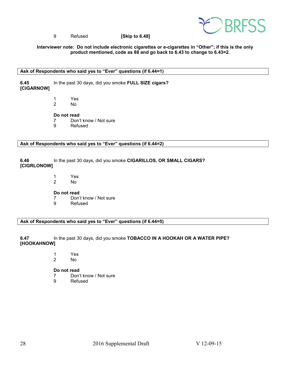

### 9 Refused **[Skip to 6.48]**

### **Interviewer note: Do not include electronic cigarettes or e-cigarettes in "Other"; if this is the only product mentioned, code as 88 and go back to 6.43 to change to 6.43=2.**

### **Ask of Respondents who said yes to "Ever" questions (if 6.44=1)**

**6.45** In the past 30 days, did you smoke **FULL SIZE cigars? [CIGARNOW]** 

> 1 Yes 2 No

**Do not read**

7 Don't know / Not sure

9 Refused

**Ask of Respondents who said yes to "Ever" questions (if 6.44=2)**

**6.46** In the past 30 days, did you smoke **CIGARILLOS, OR SMALL CIGARS? [CIGRLONOW]**

> 1 Yes 2 No

**Do not read**

7 Don't know / Not sure<br>9 Refused

**Refused** 

**Ask of Respondents who said yes to "Ever" questions (if 6.44=5)**

**6.47** In the past 30 days, did you smoke **TOBACCO IN A HOOKAH OR A WATER PIPE? [HOOKAHNOW]**

> 1 Yes 2 No

**Do not read**

- 7 Don't know / Not sure<br>9 Refused
- **Refused**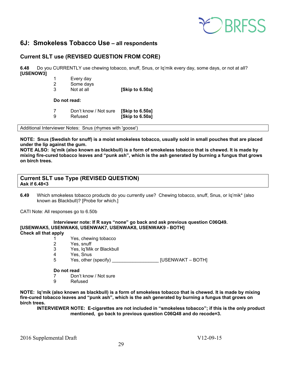

### <span id="page-28-0"></span>**6J: Smokeless Tobacco Use – all respondents**

### **Current SLT use (REVISED QUESTION FROM CORE)**

**6.48** Do you CURRENTLY use chewing tobacco, snuff, Snus, or Iq'mik every day, some days, or not at all? **[USENOW3]**

|  | Every day |
|--|-----------|
|--|-----------|

- 2 Some days<br>3 Not at all
- **[Skip to 6.50a]**

**Do not read:**

7 Don't know / Not sure **[Skip to 6.50a]** 9 Refused **[Skip to 6.50a]** 

Additional Interviewer Notes: Snus (rhymes with 'goose')

**NOTE: Snus (Swedish for snuff) is a moist smokeless tobacco, usually sold in small pouches that are placed under the lip against the gum.** 

**NOTE ALSO: Iq'mik (also known as blackbull) is a form of smokeless tobacco that is chewed. It is made by mixing fire-cured tobacco leaves and "punk ash", which is the ash generated by burning a fungus that grows on birch trees.**

### **Current SLT use Type (REVISED QUESTION) Ask if 6.48<3**

**6.49** Which smokeless tobacco products do you currently use? Chewing tobacco, snuff, Snus, or Iq'mik\* (also known as Blackbull)? [Probe for which.]

CATI Note: All responses go to 6.50b

**Interviewer note: If R says "none" go back and ask previous question C06Q49. [USENWAK5, USENWAK6, USENWAK7, USENWAK8, USENWAK9 - BOTH] Check all that apply**

- 1 Yes, chewing tobacco<br>2 Yes, snuff
	- Yes, snuff
- 3 Yes, Iq'Mik or Blackbull<br>4 Yes Snus
- Yes, Snus
- 5 Yes, other (specify) **Example 20 Yes, other (specify) EXECUTE:** [USENWAKT BOTH]

### **Do not read**

- 7 Don't know / Not sure
- 9 Refused

**NOTE: Iq'mik (also known as blackbull) is a form of smokeless tobacco that is chewed. It is made by mixing fire-cured tobacco leaves and "punk ash", which is the ash generated by burning a fungus that grows on birch trees.**

**INTERVIEWER NOTE: E-cigarettes are not included in "smokeless tobacco"; if this is the only product mentioned, go back to previous question C06Q48 and do recode=3.**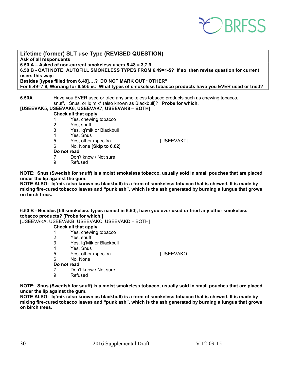

### **Lifetime (former) SLT use Type (REVISED QUESTION) Ask of all respondents 6.50 A – Asked of non-current smokeless users 6.48 = 3,7,9 6.50 B - CATI NOTE: AUTOFILL SMOKELESS TYPES FROM 6.49=1-5? If so, then revise question for current users this way: Besides [types filled from 6.49]….? DO NOT MARK OUT "OTHER" For 6.49=7,9, Wording for 6.50b is: What types of smokeless tobacco products have you EVER used or tried?**

**6.50A** Have you EVER used or tried any smokeless tobacco products such as chewing tobacco, snuff, , Snus, or Iq'mik\* (also known as Blackbull)? **Probe for which.**

### **[USEEVAK5, USEEVAK6, USEEVAK7, USEEVAK8 – BOTH]**

### **Check all that apply**

- 1 Yes, chewing tobacco
- 2 Yes, snuff
- 3 Yes, Iq'mik or Blackbull
- 4 Yes, Snus
- 5 Yes, other (specify) \_\_\_\_\_\_\_\_\_\_\_\_\_\_\_\_\_\_\_\_\_\_\_\_\_\_ [USEEVAKT]<br>6 No. None **ISkip to 6.621**
- 6 No, None **[Skip to 6.62]**

### **Do not read**

- 7 Don't know / Not sure
- 9 Refused

**NOTE: Snus (Swedish for snuff) is a moist smokeless tobacco, usually sold in small pouches that are placed under the lip against the gum.** 

**NOTE ALSO: Iq'mik (also known as blackbull) is a form of smokeless tobacco that is chewed. It is made by mixing fire-cured tobacco leaves and "punk ash", which is the ash generated by burning a fungus that grows on birch trees.**

**6.50 B - Besides [fill smokeless types named in 6.50], have you ever used or tried any other smokeless tobacco products? [Probe for which.]**

[USEEVAKA, USEEVAKB, USEEVAKC, USEEVAKD – BOTH]

### **Check all that apply**

- 1 Yes, chewing tobacco
- 2 Yes, snuff
- 3 Yes, Iq'Mik or Blackbull
- 4 Yes, Snus<br>5 Yes, other
- 5 Yes, other (specify) \_\_\_\_\_\_\_\_\_\_\_\_\_\_\_\_\_\_ [USEEVAKO]
- No, None
- **Do not read**
- 7 Don't know / Not sure<br>9 Refused
- **Refused**

**NOTE: Snus (Swedish for snuff) is a moist smokeless tobacco, usually sold in small pouches that are placed under the lip against the gum.** 

**NOTE ALSO: Iq'mik (also known as blackbull) is a form of smokeless tobacco that is chewed. It is made by mixing fire-cured tobacco leaves and "punk ash", which is the ash generated by burning a fungus that grows on birch trees.**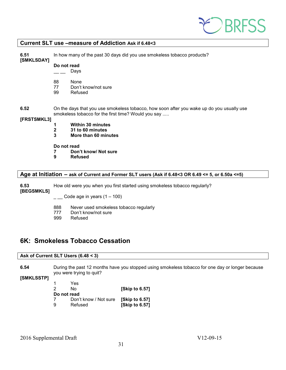

### **Current SLT use –measure of Addiction Ask if 6.48<3**

| Do not read<br>Days<br>88<br>None<br>77<br>Don't know/not sure<br>99<br>Refused                      | 6.51<br>[SMKLSDAY] | In how many of the past 30 days did you use smokeless tobacco products?                   |  |  |  |
|------------------------------------------------------------------------------------------------------|--------------------|-------------------------------------------------------------------------------------------|--|--|--|
|                                                                                                      |                    |                                                                                           |  |  |  |
|                                                                                                      |                    |                                                                                           |  |  |  |
| 6.52<br>smokeless tobacco for the first time? Would you say                                          |                    | On the days that you use smokeless tobacco, how soon after you wake up do you usually use |  |  |  |
| [FRSTSMKL3]                                                                                          |                    |                                                                                           |  |  |  |
| <b>Within 30 minutes</b>                                                                             |                    |                                                                                           |  |  |  |
| $\mathbf{2}$<br>31 to 60 minutes                                                                     |                    |                                                                                           |  |  |  |
| 3<br>More than 60 minutes                                                                            |                    |                                                                                           |  |  |  |
| Do not read                                                                                          |                    |                                                                                           |  |  |  |
| Don't know/ Not sure                                                                                 |                    |                                                                                           |  |  |  |
| 9<br><b>Refused</b>                                                                                  |                    |                                                                                           |  |  |  |
| Age at Initiation $-$ ask of Current and Former SLT users (Ask if 6.48<3 OR 6.49 <= 5, or 6.50a <=5) |                    |                                                                                           |  |  |  |

**6.53** How old were you when you first started using smokeless tobacco regularly?

**[BEGSMKLS]**

 $\frac{1}{2}$  Code age in years (1 – 100)

- 888 Never used smokeless tobacco regularly
- 777 Don't know/not sure
- 999 Refused

### <span id="page-30-0"></span>**6K: Smokeless Tobacco Cessation**

### **Ask of Current SLT Users (6.48 < 3)**

**6.54** During the past 12 months have you stopped using smokeless tobacco for one day or longer because you were trying to quit?

### **[SMKLSSTP]**

| -1          | Yes                   |                      |
|-------------|-----------------------|----------------------|
| 2           | N٥                    | [Skip to 6.57]       |
| Do not read |                       |                      |
| 7           | Don't know / Not sure | <b>Skip to 6.571</b> |
| 9           | Refused               | [Skip to 6.57]       |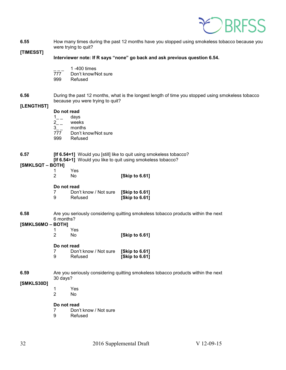

**6.55** How many times during the past 12 months have you stopped using smokeless tobacco because you were trying to quit?

**[TIMESST]**

- **Interviewer note: If R says "none" go back and ask previous question 6.54.** 
	-
	- $\overline{777}$  1 -400 times Don't know/Not sure
	- 999 Refused
- **6.56** During the past 12 months, what is the longest length of time you stopped using smokeless tobacco because you were trying to quit?

### **[LENGTHST]**

**Do not read**

- 1 days
- 2<sub>\_\_</sub> weeks
- 3\_\_ months<br>777 Don't kr
- 777 Don't know/Not sure<br>999 Refused
- **Refused**
- **6.57 [If 6.54=1]** Would you [still] like to quit using smokeless tobacco?
	- **[If 6.54>1]** Would you like to quit using smokeless tobacco?

### **[SMKLSQT – BOTH]**

- 1 Yes
- 2 No **[Skip to 6.61]**

#### **Do not read**

|   | Don't know / Not sure | [Skip to 6.61] |
|---|-----------------------|----------------|
| 9 | Refused               | [Skip to 6.61] |

**6.58** Are you seriously considering quitting smokeless tobacco products within the next 6 months?

#### **[SMKLS6MO – BOTH]**

- 1 Yes
- 2 No **[Skip to 6.61]**

### **Do not read**

7 Don't know / Not sure **[Skip to 6.61] [Skip to 6.61]** 

#### **6.59** Are you seriously considering quitting smokeless tobacco products within the next 30 days?

### **[SMKLS30D]**

- 1 Yes
- 2 No

### **Do not read**

- 7 Don't know / Not sure
- 9 Refused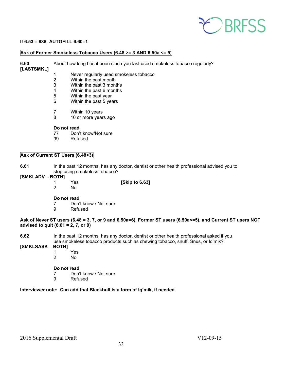# **PEDBRESS**

### **If 6.53 = 888, AUTOFILL 6.60=1**

### **Ask of Former Smokeless Tobacco Users (6.48 >= 3 AND 6.50a <= 5)**

**6.60** About how long has it been since you last used smokeless tobacco regularly?

### **[LASTSMKL]**

- 1 Never regularly used smokeless tobacco<br>2 Within the past month
- Within the past month
- 3 Within the past 3 months
- 4 Within the past 6 months<br>5 Within the past year
- Within the past year
- 6 Within the past 5 years
- 7 Within 10 years
- 8 10 or more years ago

### **Do not read**

- 77 Don't know/Not sure<br>99 Refused
- Refused

### **Ask of Current ST Users (6.48<3)**

**6.61** In the past 12 months, has any doctor, dentist or other health professional advised you to stop using smokeless tobacco?

### **[SMKLADV – BOTH]**

- 1 Yes **[Skip to 6.63]**
- No.

### **Do not read**

- 7 Don't know / Not sure<br>9 Refused
	- **Refused**

### **Ask of Never ST users (6.48 = 3, 7, or 9 and 6.50a=6), Former ST users (6.50a<=5), and Current ST users NOT advised to quit (6.61 = 2, 7, or 9)**

**6.62** In the past 12 months, has any doctor, dentist or other health professional asked if you use smokeless tobacco products such as chewing tobacco, snuff, Snus, or Iq'mik?

# **[SMKLSASK – BOTH]**

- 1 Yes
- 2 No

### **Do not read**

- 7 Don't know / Not sure
- 9 Refused

### **Interviewer note: Can add that Blackbull is a form of Iq'mik, if needed**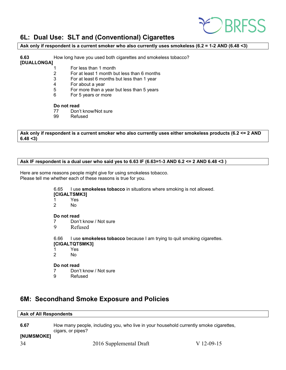

### <span id="page-33-0"></span>**6L: Dual Use: SLT and (Conventional) Cigarettes**

**Ask only if respondent is a current smoker who also currently uses smokeless (6.2 = 1-2 AND (6.48 <3)**

**6.63** How long have you used both cigarettes and smokeless tobacco? **[DUALLONGA]**

- 1 For less than 1 month<br>2 For at least 1 month bu
	- 2 For at least 1 month but less than 6 months
- 3 For at least 6 months but less than 1 year
- 4 For about a year<br>5 For more than a
- 5 For more than a year but less than 5 years
- 6 For 5 years or more

#### **Do not read**

- 77 Don't know/Not sure<br>99 Refused
- Refused

**Ask only if respondent is a current smoker who also currently uses either smokeless products (6.2 <= 2 AND 6.48 <3)** 

### **Ask IF respondent is a dual user who said yes to 6.63 IF (6.63=1-3 AND 6.2 <= 2 AND 6.48 <3 )**

Here are some reasons people might give for using smokeless tobacco. Please tell me whether each of these reasons is true for you.

6.65 I use **smokeless tobacco** in situations where smoking is not allowed.

#### **[CIGALTSMK3]**

- 1 Yes
- $No$

#### **Do not read**

- 7 Don't know / Not sure
- 9 Refused

6.66 I use **smokeless tobacco** because I am trying to quit smoking cigarettes.

- **[CIGALTQTSMK3]**
- 1 Yes
- No.

### **Do not read**

- 7 Don't know / Not sure
- 9 Refused

### <span id="page-33-1"></span>**6M: Secondhand Smoke Exposure and Policies**

### **Ask of All Respondents**

**6.67** How many people, including you, who live in your household currently smoke cigarettes, cigars, or pipes? **[NUMSMOKE]**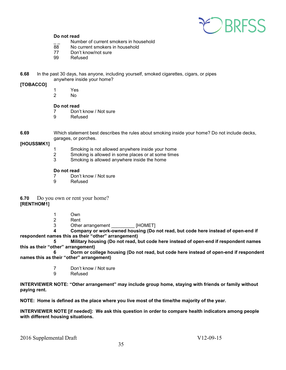

### **Do not read**

- $\frac{1}{88}$  Number of current smokers in household<br> $\frac{1}{88}$  No current smokers in household
- 88 No current smokers in household<br>77 Don't know/not sure
- Don't know/not sure
- 99 Refused
- **6.68** In the past 30 days, has anyone, including yourself, smoked cigarettes, cigars, or pipes anywhere inside your home?

### **[TOBACCO]**

1 Yes N<sub>o</sub>

### **Do not read**

- 7 Don't know / Not sure
- 9 Refused
- 

**6.69** Which statement best describes the rules about smoking inside your home? Do not include decks, garages, or porches.

### **[HOUSSMK1]**

- 1 Smoking is not allowed anywhere inside your home
- 2 Smoking is allowed in some places or at some times<br>3 Smoking is allowed anywhere inside the home
- 3 Smoking is allowed anywhere inside the home

### **Do not read**

- 7 Don't know / Not sure
- 9 Refused

**6.70** Do you own or rent your home? **[RENTHOM1]** 

- 1 Own
- 2 Rent
- 3 Other arrangement \_\_\_\_\_\_\_\_\_\_\_\_\_ [HOMET]<br>4 Company or work-owned housing (Do

**4 Company or work-owned housing (Do not read, but code here instead of open-end if respondent names this as their "other" arrangement)**

**5 Military housing (Do not read, but code here instead of open-end if respondent names this as their "other" arrangement)**

**6 Dorm or college housing (Do not read, but code here instead of open-end if respondent names this as their "other" arrangement)**

- 7 Don't know / Not sure
- 9 Refused

**INTERVIEWER NOTE: "Other arrangement" may include group home, staying with friends or family without paying rent.**

**NOTE: Home is defined as the place where you live most of the time/the majority of the year.** 

**INTERVIEWER NOTE [if needed]: We ask this question in order to compare health indicators among people with different housing situations.**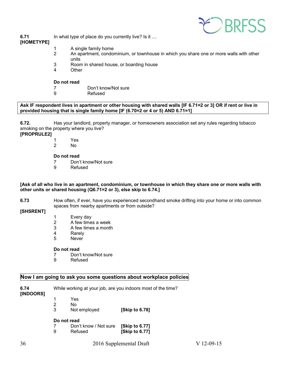

**6.71** In what type of place do you currently live? Is it ...

### **[HOMETYPE]**

- 1 A single family home<br>2 An apartment. condo
- An apartment, condominium, or townhouse in which you share one or more walls with other units
- 3 Room in shared house, or boarding house
- **Other**

### **Do not read**

- 7 Don't know/Not sure
- 9 Refused

**Ask IF respondent lives in apartment or other housing with shared walls [IF 6.71=2 or 3] OR if rent or live in provided housing that is single family home [IF (6.70=2 or 4 or 5) AND 6.71=1]**

**6.72.** Has your landlord, property manager, or homeowners association set any rules regarding tobacco smoking on the property where you live?

### **[PROPRULE2]**

- 1 Yes
- 2 No

### **Do not read**

- 7 Don't know/Not sure<br>9 Refused
- **Refused**

### **[Ask of all who live in an apartment, condominium, or townhouse in which they share one or more walls with other units or shared housing (Q6.71=2 or 3), else skip to 6.74.]**

**6.73** How often, if ever, have you experienced secondhand smoke drifting into your home or into common spaces from nearby apartments or from outside?

### **[SHSRENT]**

- 1 Every day
- 2 A few times a week
- 3 A few times a month
- 4 Rarely<br>5 Never
- **Never**

### **Do not read**

- 7 Don't know/Not sure
- 9 Refused

### **Now I am going to ask you some questions about workplace policies**

| 6.74<br>[INDOORS] | While working at your job, are you indoors most of the time? |                       |                      |  |
|-------------------|--------------------------------------------------------------|-----------------------|----------------------|--|
|                   |                                                              | Yes                   |                      |  |
|                   | 2                                                            | No                    |                      |  |
|                   | 3                                                            | Not employed          | <b>Skip to 6.781</b> |  |
|                   |                                                              | Do not read           |                      |  |
|                   |                                                              | Don't know / Not sure | [Skip to 6.77]       |  |
|                   | 9                                                            | Refused               | [Skip to 6.77]       |  |
|                   |                                                              |                       |                      |  |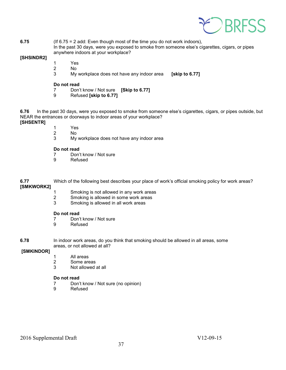

#### **6.75** (If 6.75 = 2 add: Even though most of the time you do not work indoors), In the past 30 days, were you exposed to smoke from someone else's cigarettes, cigars, or pipes anywhere indoors at your workplace?

### **[SHSINDR2]**

- 1 Yes
- 2 No
- 3 My workplace does not have any indoor area **[skip to 6.77]**

#### **Do not read**

- 7 Don't know / Not sure **[Skip to 6.77]**
- 9 Refused **[skip to 6.77]**

**6.76** In the past 30 days, were you exposed to smoke from someone else's cigarettes, cigars, or pipes outside, but NEAR the entrances or doorways to indoor areas of your workplace?

- **[SHSENTR]**
- 1 Yes
- 2 No
- 3 My workplace does not have any indoor area

#### **Do not read**

- 7 Don't know / Not sure
- 9 Refused

### **6.77** Which of the following best describes your place of work's official smoking policy for work areas? **[SMKWORK2]**

- 1 Smoking is not allowed in any work areas<br>2 Smoking is allowed in some work areas
- 2 Smoking is allowed in some work areas<br>3 Smoking is allowed in all work areas
- Smoking is allowed in all work areas

#### **Do not read**

- 7 Don't know / Not sure<br>9 Refused
- **Refused**
- **6.78** In indoor work areas, do you think that smoking should be allowed in all areas, some areas, or not allowed at all?

### **[SMKINDOR]**

- 1 All areas<br>2 Some are
- Some areas
- 3 Not allowed at all

### **Do not read**

- 7 Don't know / Not sure (no opinion)<br>9 Refused
- **Refused**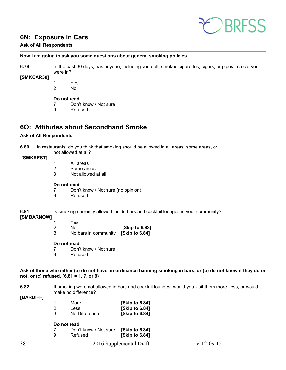

### <span id="page-37-0"></span>**6N: Exposure in Cars**

### **Ask of All Respondents**

**Now I am going to ask you some questions about general smoking policies…**

**6.79** In the past 30 days, has anyone, including yourself, smoked cigarettes, cigars, or pipes in a car you were in?

### **[SMKCAR30]**

1 Yes 2 No

### **Do not read**

7 Don't know / Not sure

9 Refused

### <span id="page-37-1"></span>**6O: Attitudes about Secondhand Smoke**

### **Ask of All Respondents**

**6.80** In restaurants, do you think that smoking should be allowed in all areas, some areas, or not allowed at all?

- **[SMKREST]**
- 1 All areas
- 2 Some areas
- 3 Not allowed at all

### **Do not read**

- 7 Don't know / Not sure (no opinion)
- 9 Refused

### **6.81** Is smoking currently allowed inside bars and cocktail lounges in your community?

### **[SMBARNOW]**

- 1 Yes<br>2 No
- No **[Skip to 6.83]**<br>No bars in community **[Skip to 6.84]**
- 3 No bars in community

### **Do not read**

7 Don't know / Not sure<br>9 Refused **Refused** 

**Ask of those who either (a) do not have an ordinance banning smoking in bars, or (b) do not know if they do or not, or (c) refused. (6.81 = 1, 7, or 9)**

**6.82** If smoking were not allowed in bars and cocktail lounges, would you visit them more, less, or would it make no difference?

**[BARDIFF]**

|   | More          | [Skip to 6.84] |
|---|---------------|----------------|
| 2 | <b>Less</b>   | [Skip to 6.84] |
| 3 | No Difference | [Skip to 6.84] |

### **Do not read**

| - 7 | Don't know / Not sure | [Skip to 6.84] |
|-----|-----------------------|----------------|
| -9  | Refused               | [Skip to 6.84] |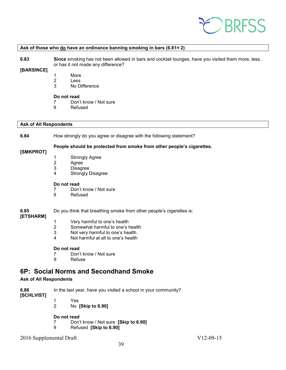

#### **Ask of those who do have an ordinance banning smoking in bars (6.81= 2)**

**6.83 Since** smoking has not been allowed in bars and cocktail lounges, have you visited them more, less, or has it not made any difference?

### **[BARSINCE]**

- 1 More
- 2 Less<br>3 No D
- No Difference

#### **Do not read**

- 7 Don't know / Not sure<br>9 Refused
- **Refused**

#### **Ask of All Respondents**

### **6.84** How strongly do you agree or disagree with the following statement?

### **People should be protected from smoke from other people's cigarettes.**

- 1 Strongly Agree
- 
- 2 Agree<br>3 Disagr **Disagree**
- 4 Strongly Disagree

#### **Do not read**

- 7 Don't know / Not sure
- 9 Refused

### **6.85** Do you think that breathing smoke from other people's cigarettes is:

### **[ETSHARM]**

**[SMKPROT]**

- 1 Very harmful to one's health
- 2 Somewhat harmful to one's health<br>3 Not very harmful to one's health
- Not very harmful to one's health
- 4 Not harmful at all to one's health

#### **Do not read**

- 7 Don't know / Not sure<br>9 Refuse
- **Refuse**

### <span id="page-38-0"></span>**6P: Social Norms and Secondhand Smoke**

### **Ask of All Respondents**

**6.86** In the last year, have you visited a school in your community?

**[SCHLVIST]**

1 Yes 2 No **[Skip to 6.90]**

### **Do not read**

- 7 Don't know / Not sure **[Skip to 6.90]**
- 9 Refused **[Skip to 6.90]**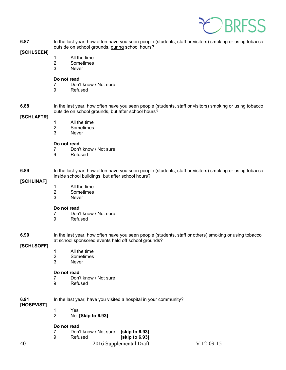

**6.87** In the last year, how often have you seen people (students, staff or visitors) smoking or using tobacco outside on school grounds, during school hours?

### **[SCHLSEEN]**

- 1 All the time
- 2 Sometimes<br>3 Never
	- **Never**

### **Do not read**

- 7 Don't know / Not sure
- 9 Refused

**6.88** In the last year, how often have you seen people (students, staff or visitors) smoking or using tobacco outside on school grounds, but after school hours?

### **[SCHLAFTR]**

- 1 All the time
- 2 Sometimes<br>3 Never
- **Never**

### **Do not read**

- 7 Don't know / Not sure<br>9 Refused
- **Refused**

### **6.89** In the last year, how often have you seen people (students, staff or visitors) smoking or using tobacco inside school buildings, but after school hours?

### **[SCHLINAF]**

- 1 All the time
- 2 Sometimes<br>3 Never
- **Never**

# **Do not read**<br> **7** Don'

- 7 Don't know / Not sure<br>9 Refused
- **Refused**
- **6.90** In the last year, how often have you seen people (students, staff or others) smoking or using tobacco at school sponsored events held off school grounds?

### **[SCHLSOFF]**

- 1 All the time
- 2 Sometimes<br>3 Never
- **Never**

# **Do not read**<br>7 Don'

- Don't know / Not sure
- 9 Refused

| 6.91 | In the last year, have you visited a hospital in your community? |
|------|------------------------------------------------------------------|
|      |                                                                  |

**[HOSPVIST]**

- 1 Yes
- 2 No **[Skip to 6.93]**

### **Do not read**

|   | Don't know / Not sure | [skip to 6.93] |
|---|-----------------------|----------------|
| 9 | Refused               | [skip to 6.93] |

40 2016 Supplemental Draft V 12-09-15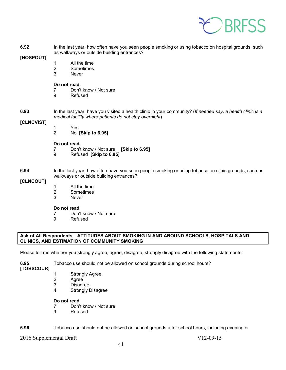

| 6.92<br>[HOSPOUT]  | In the last year, how often have you seen people smoking or using tobacco on hospital grounds, such<br>as walkways or outside building entrances?                    |                                                                                                                                                 |  |  |
|--------------------|----------------------------------------------------------------------------------------------------------------------------------------------------------------------|-------------------------------------------------------------------------------------------------------------------------------------------------|--|--|
|                    | 1<br>$\overline{\mathbf{c}}$<br>3                                                                                                                                    | All the time<br>Sometimes<br><b>Never</b>                                                                                                       |  |  |
|                    | Do not read<br>7<br>9                                                                                                                                                | Don't know / Not sure<br>Refused                                                                                                                |  |  |
| 6.93<br>[CLNCVIST] | In the last year, have you visited a health clinic in your community? (If needed say, a health clinic is a<br>medical facility where patients do not stay overnight) |                                                                                                                                                 |  |  |
|                    | 1<br>$\overline{2}$                                                                                                                                                  | Yes<br>No [Skip to 6.95]                                                                                                                        |  |  |
|                    | Do not read<br>7<br>9                                                                                                                                                | Don't know / Not sure [Skip to 6.95]<br>Refused [Skip to 6.95]                                                                                  |  |  |
| 6.94<br>[CLNCOUT]  |                                                                                                                                                                      | In the last year, how often have you seen people smoking or using tobacco on clinic grounds, such as<br>walkways or outside building entrances? |  |  |
|                    | 1<br>$\overline{\mathbf{c}}$<br>3                                                                                                                                    | All the time<br>Sometimes<br><b>Never</b>                                                                                                       |  |  |

# **Do not read**<br>7 Don'

- 7 Don't know / Not sure<br>9 Refused
- **Refused**

### **Ask of All Respondents—ATTITUDES ABOUT SMOKING IN AND AROUND SCHOOLS, HOSPITALS AND CLINICS, AND ESTIMATION OF COMMUNITY SMOKING**

Please tell me whether you strongly agree, agree, disagree, strongly disagree with the following statements:

**6.95** Tobacco use should not be allowed on school grounds during school hours?

**[TOBSCDUR]** 

- 1 Strongly Agree<br>2 Agree
- 2 Agree<br>3 Disagr
- **Disagree**
- 4 Strongly Disagree

### **Do not read**

- 7 Don't know / Not sure<br>9 Refused
- **Refused**

**6.96** Tobacco use should not be allowed on school grounds after school hours, including evening or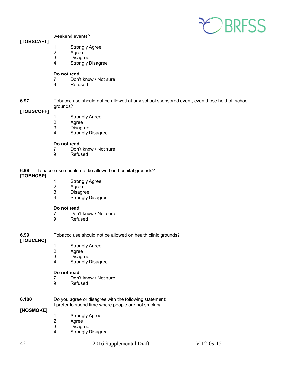

weekend events?

### **[TOBSCAFT]**

- 1 Strongly Agree<br>2 Agree
- 2 Agree<br>3 Disagr
- **Disagree**
- 4 Strongly Disagree

### **Do not read**

- 7 Don't know / Not sure<br>9 Refused
	- **Refused**
- **6.97** Tobacco use should not be allowed at any school sponsored event, even those held off school grounds?

### **[TOBSCOFF]**

- 1 Strongly Agree
- 2 Agree
- 3 Disagree
- 4 Strongly Disagree

### **Do not read**

- 7 Don't know / Not sure<br>9 Refused
- **Refused**

**6.98** Tobacco use should not be allowed on hospital grounds?

**[TOBHOSP]**

- 1 Strongly Agree<br>2 Agree
- 2 Agree<br>3 Disagr
- 3 Disagree<br>4 Strongly I
- **Strongly Disagree**

# **Do not read**<br>7 Don'

- 7 Don't know / Not sure<br>9 Refused
- **Refused**

**6.99** Tobacco use should not be allowed on health clinic grounds?

### **[TOBCLNC]**

- 1 Strongly Agree<br>2 Agree
- **Agree**
- 
- 3 Disagree<br>4 Strongly I Strongly Disagree

# **Do not read**<br>7 Don'

- Don't know / Not sure
- 9 Refused

### **6.100** Do you agree or disagree with the following statement: I prefer to spend time where people are not smoking.

### **[NOSMOKE]**

- 1 Strongly Agree<br>2 Agree
- 2 Agree<br>3 Disagr
- **Disagree**
- 4 Strongly Disagree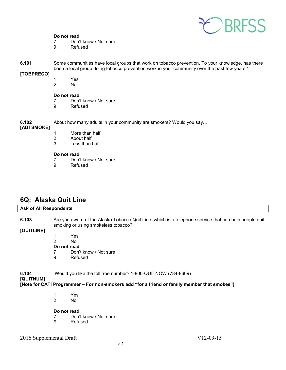

### **Do not read**

- 7 Don't know / Not sure
- 9 Refused
- **6.101** Some communities have local groups that work on tobacco prevention. To your knowledge, has there been a local group doing tobacco prevention work in your community over the past few years?

### **[TOBPRECO]**

- 1 Yes
	- No.

# **Do not read**<br>7 Don'

- Don't know / Not sure
- 9 Refused

**6.102** About how many adults in your community are smokers? Would you say…

### **[ADTSMOKE]**

- 1 More than half<br>2 About half
- 2 About half<br>3 Less than
- Less than half

# **Do not read**<br> **Poon**

- 7 Don't know / Not sure<br>9 Refused
- **Refused**

### <span id="page-42-0"></span>**6Q: Alaska Quit Line**

### **Ask of All Respondents 6.103** Are you aware of the Alaska Tobacco Quit Line, which is a telephone service that can help people quit smoking or using smokeless tobacco?

**[QUITLINE]**

 1 Yes 2 No **Do not read** 7 Don't know / Not sure 9 Refused

**6.104** Would you like the toll free number? 1-800-QUITNOW (784-8669)

### **[QUITNUM]**

**[Note for CATI Programmer – For non-smokers add "for a friend or family member that smokes"]**

 1 Yes 2 No

### **Do not read**

- 7 Don't know / Not sure
- 9 Refused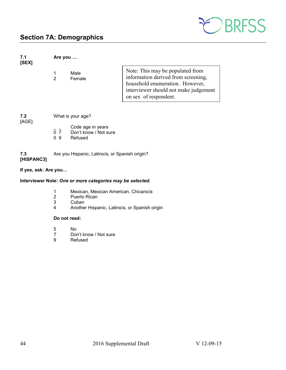

# <span id="page-43-0"></span>**Section 7A: Demographics**

| 7.1<br>[SEX]         | Are you                                        |                                                           |                                                                                                                                                                              |  |
|----------------------|------------------------------------------------|-----------------------------------------------------------|------------------------------------------------------------------------------------------------------------------------------------------------------------------------------|--|
|                      | 1<br>$\overline{2}$                            | Male<br>Female                                            | Note: This may be populated from<br>information derived from screening,<br>household enumeration. However,<br>interviewer should not make judgement<br>on sex of respondent. |  |
| 7.2                  | What is your age?                              |                                                           |                                                                                                                                                                              |  |
| [AGE]                | $\overline{0}$ $\overline{7}$<br>0.9           | Code age in years<br>Don't know / Not sure<br>Refused     |                                                                                                                                                                              |  |
| 7.3<br>[HISPANC3]    | Are you Hispanic, Latino/a, or Spanish origin? |                                                           |                                                                                                                                                                              |  |
| If yes, ask: Are you |                                                |                                                           |                                                                                                                                                                              |  |
|                      |                                                | Interviewer Note: One or more categories may be selected. |                                                                                                                                                                              |  |
|                      |                                                |                                                           |                                                                                                                                                                              |  |

- 1 Mexican, Mexican American, Chicano/a
- 2 Puerto Rican<br>3 Cuban
- 3 Cuban<br>4 Anothe
- Another Hispanic, Latino/a, or Spanish origin

### **Do not read:**

- 5 No
- 7 Don't know / Not sure<br>9 Refused
- **Refused**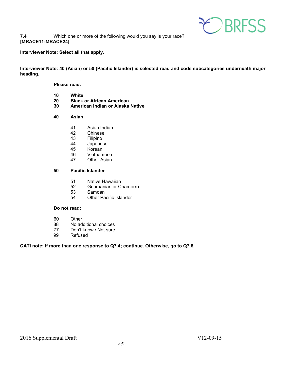

### **7.4** Which one or more of the following would you say is your race? **[MRACE11-MRACE24]**

### **Interviewer Note: Select all that apply.**

**Interviewer Note: 40 (Asian) or 50 (Pacific Islander) is selected read and code subcategories underneath major heading.**

### **Please read:**

- **10 White**
- **20 Black or African American**
- **30 American Indian or Alaska Native**
- **40 Asian**
	- 41 Asian Indian<br>42 Chinese
	- 42 Chinese<br>43 Filipino
	- 43 Filipino<br>44 Japanes
	- 44 Japanese<br>45 Korean
	- 45 Korean<br>46 Vietnam
	- 46 Vietnamese<br>47 Other Asian
	- **Other Asian**

### **50 Pacific Islander**

- 51 Native Hawaiian<br>52 Guamanian or Cl
- Guamanian or Chamorro
- 53 Samoan<br>54 Other Pa
- **Other Pacific Islander**

#### **Do not read:**

- 60 Other<br>88 No add
- 88 No additional choices<br>77 Don't know / Not sure
- 77 Don't know / Not sure<br>99 Refused
- **Refused**

### **CATI note: If more than one response to Q7.4; continue. Otherwise, go to Q7.6.**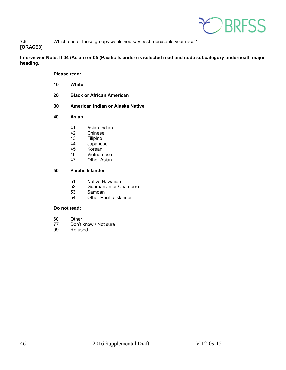

**7.5** Which one of these groups would you say best represents your race?

**[ORACE3]** 

**Interviewer Note: If 04 (Asian) or 05 (Pacific Islander) is selected read and code subcategory underneath major heading.**

**Please read:**

- **10 White**
- **20 Black or African American**
- **30 American Indian or Alaska Native**
- **40 Asian**
	- 41 Asian Indian<br>42 Chinese
	- 42 Chinese<br>43 Filipino
	- 43 Filipino<br>44 Japanes
	- 44 Japanese<br>45 Korean
	- 45 Korean<br>46 Vietnam
	- 46 Vietnamese<br>47 Other Asian
	- **Other Asian**

### **50 Pacific Islander**

- 51 Native Hawaiian<br>52 Guamanian or Cl
- 52 Guamanian or Chamorro<br>53 Samoan
- 53 Samoan<br>54 Other Pa
- Other Pacific Islander

### **Do not read:**

- 60 Other<br>77 Don't l
- 77 Don't know / Not sure<br>99 Refused
- **Refused**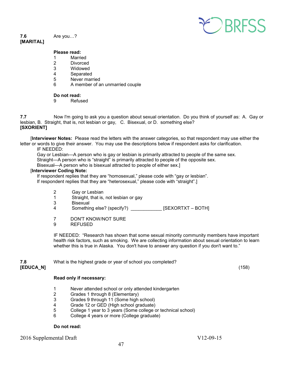

#### **7.6** Are you…? **[MARITAL]**

### **Please read:**

- 1 Married
- 2 Divorced<br>3 Widowed
- **Widowed**
- 4 Separated
- 5 Never married<br>6 A member of a
- 6 A member of an unmarried couple

### **Do not read:**

9 Refused

**7.7** Now I'm going to ask you a question about sexual orientation. Do you think of yourself as: A. Gay or lesbian, B. Straight, that is, not lesbian or gay, C. Bisexual, or D. something else? **[SXORIENT]** 

 [**Interviewer Notes:** Please read the letters with the answer categories, so that respondent may use either the letter or words to give their answer. You may use the descriptions below if respondent asks for clarification.

### IF NEEDED:

Gay or Lesbian—A person who is gay or lesbian is primarily attracted to people of the same sex. Straight—A person who is "straight" is primarily attracted to people of the opposite sex. Bisexual—A person who is bisexual attracted to people of either sex.]

### [**Interviewer Coding Note:**

If respondent replies that they are "homosexual," please code with "gay or lesbian".

If respondent replies that they are "heterosexual," please code with "straight".]

- 2 Gay or Lesbian<br>1 Straight, that is.
- 1 Straight, that is, not lesbian or gay
- **Bisexual**

4 Something else? (specify?) \_\_\_\_\_\_\_\_\_\_\_\_ [SEXORTXT – BOTH]

- 7 DON'T KNOW/NOT SURE
- 9 REFUSED

IF NEEDED: "Research has shown that some sexual minority community members have important health risk factors, such as smoking. We are collecting information about sexual orientation to learn whether this is true in Alaska. You don't have to answer any question if you don't want to."

**7.8** What is the highest grade or year of school you completed? **[EDUCA\_N]** (158)

### **Read only if necessary:**

- 1 Never attended school or only attended kindergarten
- Grades 1 through 8 (Elementary)
- 3 Grades 9 through 11 (Some high school)
- 
- 4 Grade 12 or GED (High school graduate)<br>5 College 1 year to 3 years (Some college c 5 College 1 year to 3 years (Some college or technical school)
- 6 College 4 years or more (College graduate)

### **Do not read:**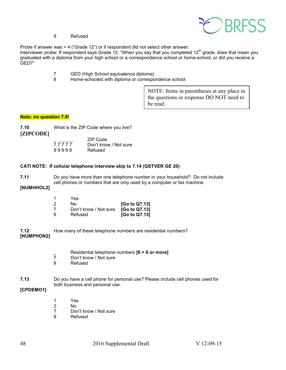

9 Refused

Probe if answer was = 4 ("Grade 12") or if respondent did not select other answer:

Interviewer probe: If respondent says Grade 12: "When you say that you completed 12<sup>th</sup> grade, does that mean you graduated with a diploma from your high school or a correspondence school or home-school, or did you receive a GED?"

- 7 GED (High School equivalence diploma)
- 8 Home-schooled with diploma or correspondence school

NOTE: Items in parentheses at any place in the questions or response DO NOT need to be read.

### **Note: no question 7.9!**

| 7.10<br>[ZIPCODE] |                | What is the ZIP Code where you live?         |
|-------------------|----------------|----------------------------------------------|
|                   | 77777<br>99999 | ZIP Code<br>Don't know / Not sure<br>Refused |

### **CATI NOTE: If cellular telephone interview skip to 7.14 (QSTVER GE 20)**

**7.11** Do you have more than one telephone number in your household? Do not include cell phones or numbers that are only used by a computer or fax machine.

### **[NUMHHOL2]**

| 1 | Yes                   |               |
|---|-----------------------|---------------|
| 2 | Nο                    | [Go to Q7.13] |
| 7 | Don't know / Not sure | [Go to Q7.13] |
| 9 | Refused               | [Go to Q7.13] |

**7.12** How many of these telephone numbers are residential numbers? **[NUMPHON2]**

| Residential telephone numbers $[6 = 6$ or more] |
|-------------------------------------------------|
| Don't know / Not sure                           |

9 Refused

### **7.13** Do you have a cell phone for personal use? Please include cell phones used for both business and personal use.

### **[CPDEMO1]**

- 1 Yes<br>2 No
- 2 No<br>7 Dor
- 7 Don't know / Not sure<br>9 Refused
- **Refused**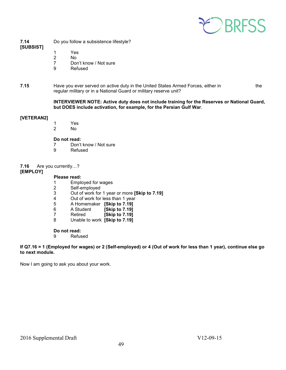

**7.14** Do you follow a subsistence lifestyle? **[SUBSIST]**

- 1 Yes 2 No
- 
- 7 Don't know / Not sure<br>9 Refused
- **Refused**

**7.15** Have you ever served on active duty in the United States Armed Forces, either in the regular military or in a National Guard or military reserve unit?

### **INTERVIEWER NOTE: Active duty does not include training for the Reserves or National Guard, but DOES include activation, for example, for the Persian Gulf War**.

### **[VETERAN2]**

1 Yes<br>2 No N<sub>o</sub>

# **Do not read:**<br> **7** Don't

- 7 Don't know / Not sure<br>9 Refused
	- **Refused**

### **7.16** Are you currently…?

### **[EMPLOY]**

### **Please read:**

- 1 Employed for wages<br>2 Self-employed
- 
- 2 Self-employed<br>3 Out of work for 3 Out of work for 1 year or more **[Skip to 7.19]**
- 4 Out of work for less than 1 year<br>5 A Homemaker **Skip to 7.191**
- 5 A Homemaker **[Skip to 7.19]**
- 6 A Student **[Skip to 7.19]**
- Retired **[Skip to 7.19]**
- 8 Unable to work **[Skip to 7.19]**

### **Do not read:**

9 Refused

### **If Q7.16 = 1 (Employed for wages) or 2 (Self-employed) or 4 (Out of work for less than 1 year), continue else go to next module.**

Now I am going to ask you about your work.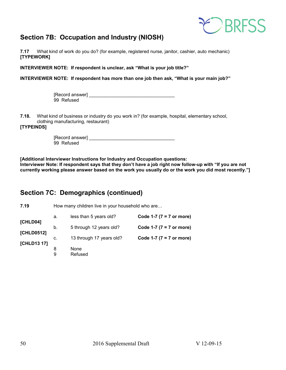

### <span id="page-49-0"></span>**Section 7B: Occupation and Industry (NIOSH)**

**7.17** What kind of work do you do? (for example, registered nurse, janitor, cashier, auto mechanic) **[TYPEWORK]**

**INTERVIEWER NOTE: If respondent is unclear, ask "What is your job title?"**

**INTERVIEWER NOTE: If respondent has more than one job then ask, "What is your main job?"**

| [Record answer] |  |
|-----------------|--|
| 99 Refused      |  |

**7.18.** What kind of business or industry do you work in? (for example, hospital, elementary school, clothing manufacturing, restaurant)

**[TYPEINDS]**

| [Record answer] |  |
|-----------------|--|
| 99 Refused      |  |

**[Additional Interviewer Instructions for Industry and Occupation questions: Interviewer Note: If respondent says that they don't have a job right now follow-up with "If you are not currently working please answer based on the work you usually do or the work you did most recently."]** 

### <span id="page-49-1"></span>**Section 7C: Demographics (continued)**

| 7.19                      | How many children live in your household who are |                          |                             |
|---------------------------|--------------------------------------------------|--------------------------|-----------------------------|
|                           | а.                                               | less than 5 years old?   | Code 1-7 ( $7 = 7$ or more) |
| [CHLD04]                  | b.                                               | 5 through 12 years old?  | Code 1-7 ( $7 = 7$ or more) |
| [CHLD0512]<br>[CHLD13 17] | C.                                               | 13 through 17 years old? | Code 1-7 ( $7 = 7$ or more) |
|                           | 8<br>9                                           | None<br>Refused          |                             |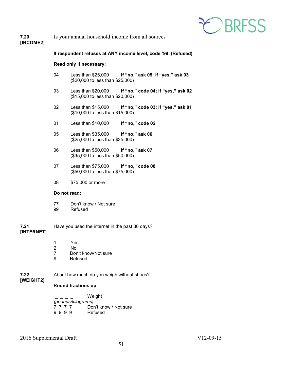

### **7.20** Is your annual household income from all sources— **[INCOME2]**

### **If respondent refuses at ANY income level, code '99' (Refused)**

#### **Read only if necessary:**

- 04 Less than \$25,000 **If "no," ask 05; if "yes," ask 03** (\$20,000 to less than \$25,000)
- 03 Less than \$20,000 **If "no," code 04; if "yes," ask 02** (\$15,000 to less than \$20,000)
- 02 Less than \$15,000 **If "no," code 03; if "yes," ask 01** (\$10,000 to less than \$15,000)
- 01 Less than \$10,000 **If "no," code 02**
- 05 Less than \$35,000 **If "no," ask 06** (\$25,000 to less than \$35,000)
- 06 Less than \$50,000 **If "no," ask 07** (\$35,000 to less than \$50,000)
- 07 Less than \$75,000 **If "no," code 08** (\$50,000 to less than \$75,000)
- 08 \$75,000 or more

### **Do not read:**

- 77 Don't know / Not sure<br>99 Refused
- Refused
- **7.21** Have you used the internet in the past 30 days? **[INTERNET]**
	- 1 Yes
	- 2 No
	- 7 Don't know/Not sure
	- 9 Refused
- **7.22** About how much do you weigh without shoes? **[WEIGHT2]**

### **Round fractions up**

 **\_ \_ \_ \_** Weight *(pounds/kilograms)* 7 7 7 7 Don't know / Not sure<br>9 9 9 9 Refused 9 9 9 9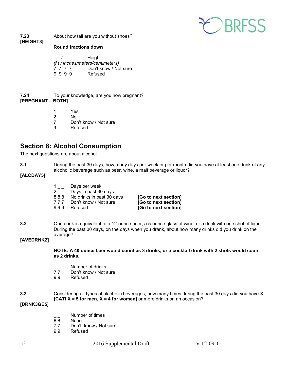

**7.23** About how tall are you without shoes? **[HEIGHT3]** 

### **Round fractions down**

**\_ \_ / \_ \_** Height *(f t / inches/meters/centimeters)* Don't know / Not sure 9 9 9 9 Refused

- **7.24** To your knowledge, are you now pregnant? **[PREGNANT – BOTH]**
	- 1 Yes
	- N<sub>o</sub>
	- 7 Don't know / Not sure
	- 9 Refused

### <span id="page-51-0"></span>**Section 8: Alcohol Consumption**

The next questions are about alcohol.

**8.1** During the past 30 days, how many days per week or per month did you have at least one drink of any alcoholic beverage such as beer, wine, a malt beverage or liquor?

### **[ALCDAY5]**

|     | Days per week             |                      |
|-----|---------------------------|----------------------|
| 2   | Days in past 30 days      |                      |
| 888 | No drinks in past 30 days | [Go to next section] |
| 777 | Don't know / Not sure     | [Go to next section] |
| 999 | Refused                   | [Go to next section] |
|     |                           |                      |

**8.2** One drink is equivalent to a 12-ounce beer, a 5-ounce glass of wine, or a drink with one shot of liquor. During the past 30 days, on the days when you drank, about how many drinks did you drink on the average?

### **[AVEDRNK2]**

### **NOTE: A 40 ounce beer would count as 3 drinks, or a cocktail drink with 2 shots would count as 2 drinks.**

- $\frac{1}{7}$  Number of drinks<br>77 Don't know / Not s
- Don't know / Not sure
- 9 9 Refused
- **8.3** Considering all types of alcoholic beverages, how many times during the past 30 days did you have **X [CATI X = 5 for men, X = 4 for women]** or more drinks on an occasion?

### **[DRNK3GE5]**

- Number of times
- 8 8 None
	- 77 Don't know / Not sure<br>99 Refused
- **Refused**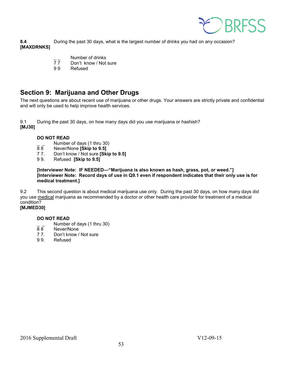

**8.4** During the past 30 days, what is the largest number of drinks you had on any occasion? **[MAXDRNKS]** 

- $\frac{1}{7}$  Number of drinks<br>77 Don't know / Not
- 77 Don't know / Not sure<br>99 Refused
- **Refused**

### <span id="page-52-0"></span>**Section 9: Marijuana and Other Drugs**

The next questions are about recent use of marijuana or other drugs. Your answers are strictly private and confidential and will only be used to help improve health services.

9.1 During the past 30 days, on how many days did you use marijuana or hashish? **[MJ30]**

### **DO NOT READ**

- $\frac{1}{8}$  Number of days (1 thru 30)<br> $\frac{1}{8}$  Never/None **[Skip to 9.5]**
- 8 8 Never/None **[Skip to 9.5]**
- 7 7. Don't know / Not sure **[Skip to 9.5]**
- 9 9. Refused **[Skip to 9.5]**

**[Interviewer Note: IF NEEDED—"Marijuana is also known as hash, grass, pot, or weed."] [Interviewer Note: Record days of use in Q9.1 even if respondent indicates that their only use is for medical treatment.]**

9.2 This second question is about medical marijuana use only. During the past 30 days, on how many days did you use medical marijuana as recommended by a doctor or other health care provider for treatment of a medical condition?

### **[MJMED30]**

### **DO NOT READ**

- $\frac{1}{8}$   $\frac{1}{8}$  Number of days (1 thru 30)
- 88 Never/None<br>77. Don't know /
- 77. Don't know / Not sure<br>9.9. Refused
- **Refused**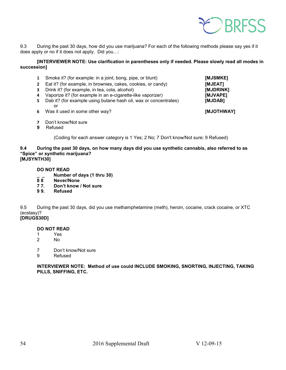

9.3 During the past 30 days, how did you use marijuana? For each of the following methods please say yes if it does apply or no if it does not apply. Did you…:

**[INTERVIEWER NOTE: Use clarification in parentheses only if needed. Please slowly read all modes in succession]** 

| З.<br>4<br>5. | Smoke it? (for example: in a joint, bong, pipe, or blunt)<br>Eat it? (for example, in brownies, cakes, cookies, or candy)<br>Drink it? (for example, in tea, cola, alcohol)<br>Vaporize it? (for example in an e-cigarette-like vaporizer)<br>Dab it? (for example using butane hash oil, wax or concentrates)<br>or | [MJSMKE]<br>[MJEAT]<br>[MJDRINK]<br>[MJVAPE]<br>[MJDAB] |
|---------------|----------------------------------------------------------------------------------------------------------------------------------------------------------------------------------------------------------------------------------------------------------------------------------------------------------------------|---------------------------------------------------------|
| 6.            | Was it used in some other way?                                                                                                                                                                                                                                                                                       | [MJOTHWAY]                                              |

- **7** Don't know/Not sure
- **9** Refused

(Coding for each answer category is 1 Yes; 2 No; 7 Don't know/Not sure; 9 Refused)

#### **9.4 During the past 30 days, on how many days did you use synthetic cannabis, also referred to as "Spice" or synthetic marijuana? [MJSYNTH30]**

### **DO NOT READ**

- **\_ \_ Number of days (1 thru 30)**
- **8 8 Never/None**
- **7 7. Don't know / Not sure**
- **9 9. Refused**

9.5 During the past 30 days, did you use methamphetamine (meth), heroin, cocaine, crack cocaine, or XTC (ecstasy)? **[DRUGS30D]** 

- **DO NOT READ**
- 1 Yes<br>2 No No.
- 7 Don't know/Not sure
- 9 Refused

**INTERVIEWER NOTE: Method of use could INCLUDE SMOKING, SNORTING, INJECTING, TAKING PILLS, SNIFFING, ETC.**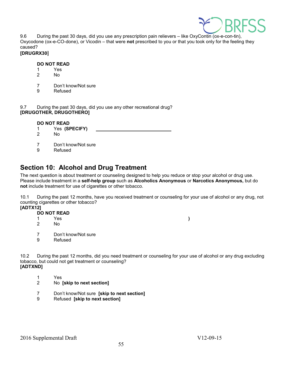

9.6 During the past 30 days, did you use any prescription pain relievers – like OxyContin (ox-e-con-tin), Oxycodone (ox-e-CO-done), or Vicodin – that were **not** prescribed to you or that you took only for the feeling they caused?

### **[DRUGRX30]**

# **DO NOT READ**

- 1 Yes<br>2 No
- 2 No
- 7 Don't know/Not sure
- 9 Refused

9.7 During the past 30 days, did you use any other recreational drug? **[DRUGOTHER, DRUGOTHERO]** 

# **DO NOT READ**<br>1 Yes (SF

- 1 Yes **(SPECIFY)**
- No.
- 7 Don't know/Not sure<br>9 Refused
- **Refused**

### <span id="page-54-0"></span>**Section 10: Alcohol and Drug Treatment**

The next question is about treatment or counseling designed to help you reduce or stop your alcohol or drug use. Please include treatment in a **self-help group** such as **Alcoholics Anonymous** or **Narcotics Anonymous,** but do **not** include treatment for use of cigarettes or other tobacco.

10.1 During the past 12 months, have you received treatment or counseling for your use of alcohol or any drug, not counting cigarettes or other tobacco?

### **[ADTX12]**

- **DO NOT READ**<br>1 Yes
	- 1 Yes **)**
	- 2 No
	- 7 Don't know/Not sure
	- 9 Refused

10.2 During the past 12 months, did you need treatment or counseling for your use of alcohol or any drug excluding tobacco, but could not get treatment or counseling?

### **[ADTXND]**

- 1 Yes<br>2 No
- 2 No **[skip to next section]**
- 7 Don't know/Not sure **[skip to next section]**
- 9 Refused **[skip to next section]**